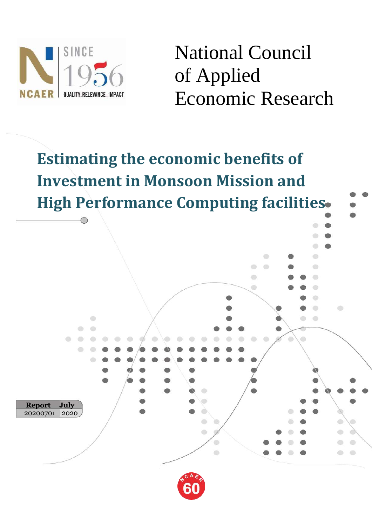

National Council of Applied Economic Research

**Estimating the economic benefits of Investment in Monsoon Mission and High Performance Computing facilities**

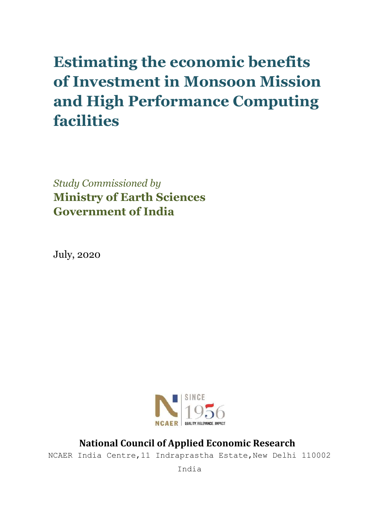# **Estimating the economic benefits of Investment in Monsoon Mission and High Performance Computing facilities**

*Study Commissioned by* **Ministry of Earth Sciences Government of India**

July, 2020



## **National Council of Applied Economic Research**

NCAER India Centre, 11 Indraprastha Estate, New Delhi 110002

India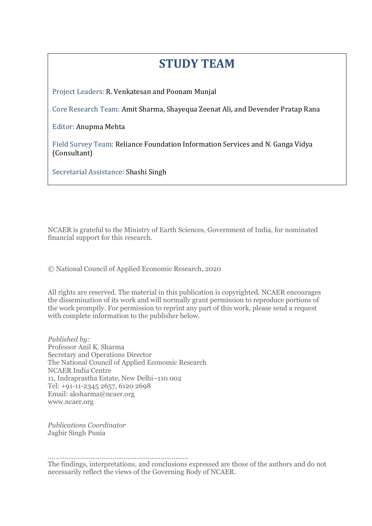# **STUDY TEAM**

Project Leaders: R. Venkatesan and Poonam Munjal

Core Research Team: Amit Sharma, Shayequa Zeenat Ali, and Devender Pratap Rana

Editor: Anupma Mehta

Field Survey Team: Reliance Foundation Information Services and N. Ganga Vidya (Consultant)

Secretarial Assistance: Shashi Singh

NCAER is grateful to the Ministry of Earth Sciences, Government of India, for nominated financial support for this research.

© National Council of Applied Economic Research, 2020

All rights are reserved. The material in this publication is copyrighted. NCAER encourages the dissemination of its work and will normally grant permission to reproduce portions of the work promptly. For permission to reprint any part of this work, please send a request with complete information to the publisher below.

*Published by:* Professor Anil K. Sharma Secretary and Operations Director The National Council of Applied Economic Research NCAER India Centre 11, Indraprastha Estate, New Delhi–110 002 Tel: +91-11-2345 2657, 6120 2698 Email: aksharma@ncaer.org www.ncaer.org

*Publications Coordinator* Jagbir Singh Punia

………………………………………………………………….

The findings, interpretations, and conclusions expressed are those of the authors and do not necessarily reflect the views of the Governing Body of NCAER.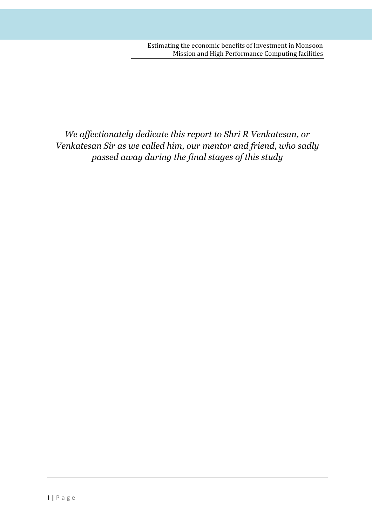*We affectionately dedicate this report to Shri R Venkatesan, or Venkatesan Sir as we called him, our mentor and friend, who sadly passed away during the final stages of this study*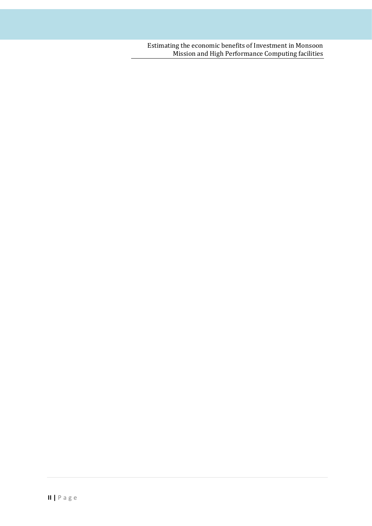Estimating the economic benefits of Investment in Monsoon Mission and High Performance Computing facilities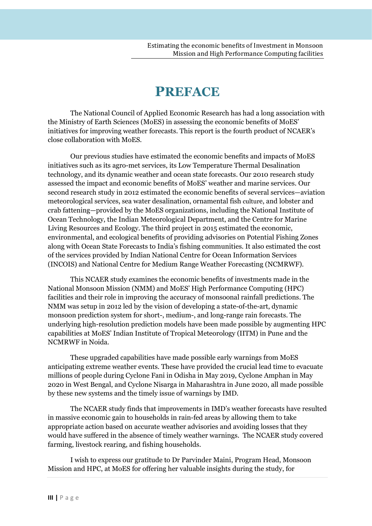# **PREFACE**

<span id="page-6-0"></span>The National Council of Applied Economic Research has had a long association with the Ministry of Earth Sciences (MoES) in assessing the economic benefits of MoES' initiatives for improving weather forecasts. This report is the fourth product of NCAER's close collaboration with MoES.

Our previous studies have estimated the economic benefits and impacts of MoES initiatives such as its agro-met services, its Low Temperature Thermal Desalination technology, and its dynamic weather and ocean state forecasts. Our 2010 research study assessed the impact and economic benefits of MoES' weather and marine services. Our second research study in 2012 estimated the economic benefits of several services—aviation meteorological services, sea water desalination, ornamental fish culture, and lobster and crab fattening—provided by the MoES organizations, including the National Institute of Ocean Technology, the Indian Meteorological Department, and the Centre for Marine Living Resources and Ecology. The third project in 2015 estimated the economic, environmental, and ecological benefits of providing advisories on Potential Fishing Zones along with Ocean State Forecasts to India's fishing communities. It also estimated the cost of the services provided by Indian National Centre for Ocean Information Services (INCOIS) and National Centre for Medium Range Weather Forecasting (NCMRWF).

This NCAER study examines the economic benefits of investments made in the National Monsoon Mission (NMM) and MoES' High Performance Computing (HPC) facilities and their role in improving the accuracy of monsoonal rainfall predictions. The NMM was setup in 2012 led by the vision of developing a state-of-the-art, dynamic monsoon prediction system for short-, medium-, and long-range rain forecasts. The underlying high-resolution prediction models have been made possible by augmenting HPC capabilities at MoES' Indian Institute of Tropical Meteorology (IITM) in Pune and the NCMRWF in Noida.

These upgraded capabilities have made possible early warnings from MoES anticipating extreme weather events. These have provided the crucial lead time to evacuate millions of people during Cyclone Fani in Odisha in May 2019, Cyclone Amphan in May 2020 in West Bengal, and Cyclone Nisarga in Maharashtra in June 2020, all made possible by these new systems and the timely issue of warnings by IMD.

The NCAER study finds that improvements in IMD's weather forecasts have resulted in massive economic gain to households in rain-fed areas by allowing them to take appropriate action based on accurate weather advisories and avoiding losses that they would have suffered in the absence of timely weather warnings. The NCAER study covered farming, livestock rearing, and fishing households.

I wish to express our gratitude to Dr Parvinder Maini, Program Head, Monsoon Mission and HPC, at MoES for offering her valuable insights during the study, for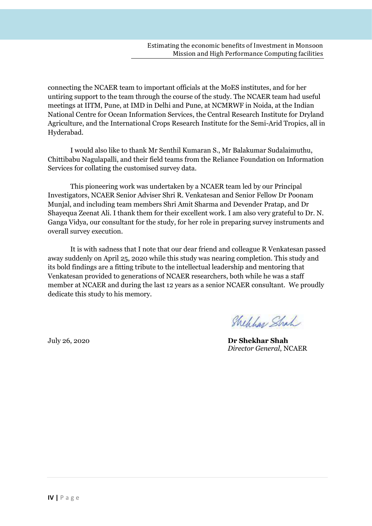connecting the NCAER team to important officials at the MoES institutes, and for her untiring support to the team through the course of the study. The NCAER team had useful meetings at IITM, Pune, at IMD in Delhi and Pune, at NCMRWF in Noida, at the Indian National Centre for Ocean Information Services, the Central Research Institute for Dryland Agriculture, and the International Crops Research Institute for the Semi-Arid Tropics, all in Hyderabad.

I would also like to thank Mr Senthil Kumaran S., Mr Balakumar Sudalaimuthu, Chittibabu Nagulapalli, and their field teams from the Reliance Foundation on Information Services for collating the customised survey data.

This pioneering work was undertaken by a NCAER team led by our Principal Investigators, NCAER Senior Adviser Shri R. Venkatesan and Senior Fellow Dr Poonam Munjal, and including team members Shri Amit Sharma and Devender Pratap, and Dr Shayequa Zeenat Ali. I thank them for their excellent work. I am also very grateful to Dr. N. Ganga Vidya, our consultant for the study, for her role in preparing survey instruments and overall survey execution.

It is with sadness that I note that our dear friend and colleague R Venkatesan passed away suddenly on April 25, 2020 while this study was nearing completion. This study and its bold findings are a fitting tribute to the intellectual leadership and mentoring that Venkatesan provided to generations of NCAER researchers, both while he was a staff member at NCAER and during the last 12 years as a senior NCAER consultant. We proudly dedicate this study to his memory.

Shephan Shah

July 26, 2020 **Dr Shekhar Shah** *Director General*, NCAER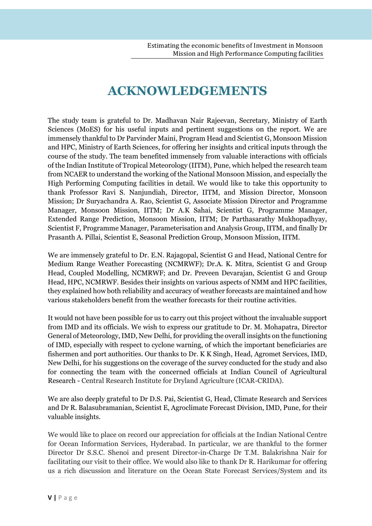# **ACKNOWLEDGEMENTS**

<span id="page-8-0"></span>The study team is grateful to Dr. Madhavan Nair Rajeevan, Secretary, Ministry of Earth Sciences (MoES) for his useful inputs and pertinent suggestions on the report. We are immensely thankful to Dr Parvinder Maini, Program Head and Scientist G, Monsoon Mission and HPC, Ministry of Earth Sciences, for offering her insights and critical inputs through the course of the study. The team benefited immensely from valuable interactions with officials of the Indian Institute of Tropical Meteorology (IITM), Pune, which helped the research team from NCAER to understand the working of the National Monsoon Mission, and especially the High Performing Computing facilities in detail. We would like to take this opportunity to thank Professor Ravi S. Nanjundiah, Director, IITM, and Mission Director, Monsoon Mission; Dr Suryachandra A. Rao, Scientist G, Associate Mission Director and Programme Manager, Monsoon Mission, IITM; Dr A.K Sahai, Scientist G, Programme Manager, Extended Range Prediction, Monsoon Mission, IITM; Dr Parthasarathy Mukhopadhyay, Scientist F, Programme Manager, Parameterisation and Analysis Group, IITM, and finally Dr Prasanth A. Pillai, Scientist E, Seasonal Prediction Group, Monsoon Mission, IITM.

We are immensely grateful to Dr. E.N. Rajagopal, Scientist G and Head, National Centre for Medium Range Weather Forecasting (NCMRWF); Dr.A. K. Mitra, Scientist G and Group Head, Coupled Modelling, NCMRWF; and Dr. Preveen Devarajan, Scientist G and Group Head, HPC, NCMRWF. Besides their insights on various aspects of NMM and HPC facilities, they explained how both reliability and accuracy of weather forecasts are maintained and how various stakeholders benefit from the weather forecasts for their routine activities.

It would not have been possible for us to carry out this project without the invaluable support from IMD and its officials. We wish to express our gratitude to Dr. M. Mohapatra, Director General of Meteorology, IMD, New Delhi, for providing the overall insights on the functioning of IMD, especially with respect to cyclone warning, of which the important beneficiaries are fishermen and port authorities. Our thanks to Dr. K K Singh, Head, Agromet Services, IMD, New Delhi, for his suggestions on the coverage of the survey conducted for the study and also for connecting the team with the concerned officials at Indian Council of Agricultural Research - Central Research Institute for Dryland Agriculture (ICAR-CRIDA).

We are also deeply grateful to Dr D.S. Pai, Scientist G, Head, Climate Research and Services and Dr R. Balasubramanian, Scientist E, Agroclimate Forecast Division, IMD, Pune, for their valuable insights.

We would like to place on record our appreciation for officials at the Indian National Centre for Ocean Information Services, Hyderabad. In particular, we are thankful to the former Director Dr S.S.C. Shenoi and present Director-in-Charge Dr T.M. Balakrishna Nair for facilitating our visit to their office. We would also like to thank Dr R. Harikumar for offering us a rich discussion and literature on the Ocean State Forecast Services/System and its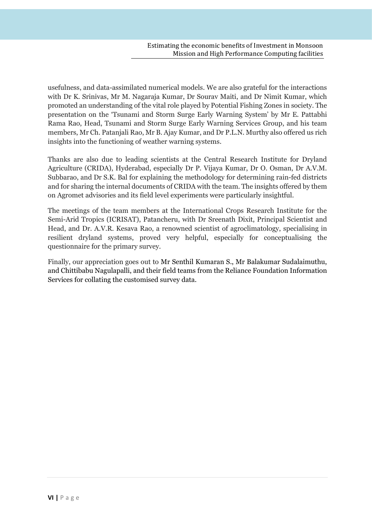usefulness, and data-assimilated numerical models. We are also grateful for the interactions with Dr K. Srinivas, Mr M. Nagaraja Kumar, Dr Sourav Maiti, and Dr Nimit Kumar, which promoted an understanding of the vital role played by Potential Fishing Zones in society. The presentation on the 'Tsunami and Storm Surge Early Warning System' by Mr E. Pattabhi Rama Rao, Head, Tsunami and Storm Surge Early Warning Services Group, and his team members, Mr Ch. Patanjali Rao, Mr B. Ajay Kumar, and Dr P.L.N. Murthy also offered us rich insights into the functioning of weather warning systems.

Thanks are also due to leading scientists at the Central Research Institute for Dryland Agriculture (CRIDA), Hyderabad, especially Dr P. Vijaya Kumar, Dr O. Osman, Dr A.V.M. Subbarao, and Dr S.K. Bal for explaining the methodology for determining rain-fed districts and for sharing the internal documents of CRIDA with the team. The insights offered by them on Agromet advisories and its field level experiments were particularly insightful.

The meetings of the team members at the International Crops Research Institute for the Semi-Arid Tropics (ICRISAT), Patancheru, with Dr Sreenath Dixit, Principal Scientist and Head, and Dr. A.V.R. Kesava Rao, a renowned scientist of agroclimatology, specialising in resilient dryland systems, proved very helpful, especially for conceptualising the questionnaire for the primary survey.

Finally, our appreciation goes out to Mr Senthil Kumaran S., Mr Balakumar Sudalaimuthu, and Chittibabu Nagulapalli, and their field teams from the Reliance Foundation Information Services for collating the customised survey data.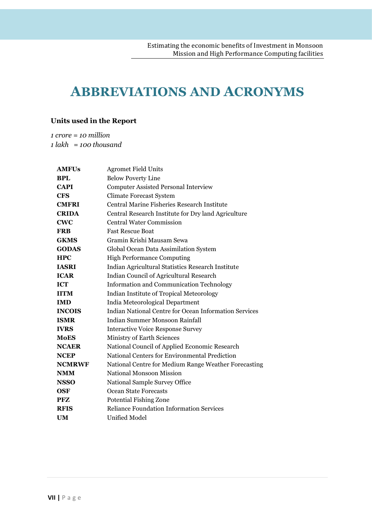# <span id="page-10-0"></span>**ABBREVIATIONS AND ACRONYMS**

#### **Units used in the Report**

*1 crore = 10 million 1 lakh = 100 thousand*

| <b>AMFUs</b>  | <b>Agromet Field Units</b>                            |
|---------------|-------------------------------------------------------|
| <b>BPL</b>    | <b>Below Poverty Line</b>                             |
| <b>CAPI</b>   | <b>Computer Assisted Personal Interview</b>           |
| <b>CFS</b>    | <b>Climate Forecast System</b>                        |
| <b>CMFRI</b>  | Central Marine Fisheries Research Institute           |
| <b>CRIDA</b>  | Central Research Institute for Dry land Agriculture   |
| <b>CWC</b>    | <b>Central Water Commission</b>                       |
| <b>FRB</b>    | <b>Fast Rescue Boat</b>                               |
| <b>GKMS</b>   | Gramin Krishi Mausam Sewa                             |
| <b>GODAS</b>  | Global Ocean Data Assimilation System                 |
| <b>HPC</b>    | <b>High Performance Computing</b>                     |
| <b>IASRI</b>  | Indian Agricultural Statistics Research Institute     |
| <b>ICAR</b>   | Indian Council of Agricultural Research               |
| <b>ICT</b>    | Information and Communication Technology              |
| <b>IITM</b>   | Indian Institute of Tropical Meteorology              |
| <b>IMD</b>    | India Meteorological Department                       |
| <b>INCOIS</b> | Indian National Centre for Ocean Information Services |
| <b>ISMR</b>   | Indian Summer Monsoon Rainfall                        |
| <b>IVRS</b>   | <b>Interactive Voice Response Survey</b>              |
| <b>MoES</b>   | Ministry of Earth Sciences                            |
| <b>NCAER</b>  | National Council of Applied Economic Research         |
| <b>NCEP</b>   | National Centers for Environmental Prediction         |
| <b>NCMRWF</b> | National Centre for Medium Range Weather Forecasting  |
| <b>NMM</b>    | <b>National Monsoon Mission</b>                       |
| <b>NSSO</b>   | National Sample Survey Office                         |
| <b>OSF</b>    | Ocean State Forecasts                                 |
| PFZ           | <b>Potential Fishing Zone</b>                         |
| <b>RFIS</b>   | <b>Reliance Foundation Information Services</b>       |
| <b>UM</b>     | Unified Model                                         |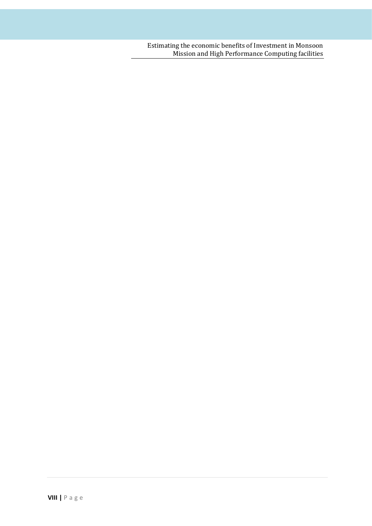Estimating the economic benefits of Investment in Monsoon<br>Mission and High Performance Computing facilities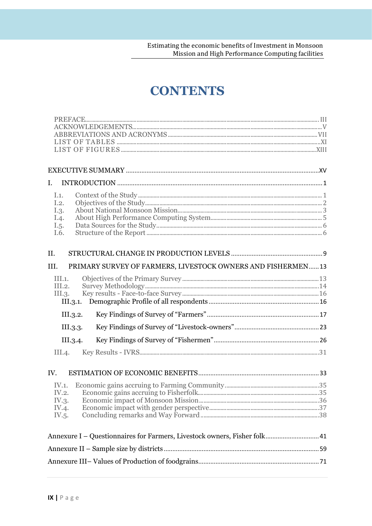## **CONTENTS**

| $\mathbf{I}$ .                                                            |     |
|---------------------------------------------------------------------------|-----|
| I.1.                                                                      |     |
| I.2.                                                                      |     |
| I.3.                                                                      |     |
| I.4.                                                                      |     |
| I.5.                                                                      |     |
| I.6.                                                                      |     |
| II.                                                                       |     |
| PRIMARY SURVEY OF FARMERS, LIVESTOCK OWNERS AND FISHERMEN 13<br>III.      |     |
| III.1.                                                                    |     |
| III.2.                                                                    |     |
| III.3.                                                                    |     |
|                                                                           |     |
| III.3.2.                                                                  |     |
| III.3.3.                                                                  |     |
| III.3.4.                                                                  |     |
|                                                                           |     |
| IV.                                                                       |     |
|                                                                           |     |
|                                                                           | .35 |
| IV.3.                                                                     |     |
| IV.4.                                                                     |     |
| IV.5.                                                                     |     |
| Annexure I – Questionnaires for Farmers, Livestock owners, Fisher folk 41 |     |
|                                                                           |     |
|                                                                           |     |
|                                                                           |     |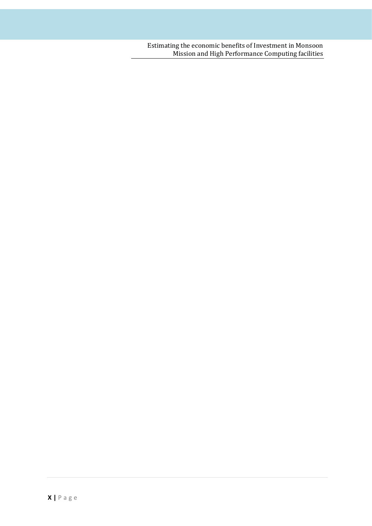Estimating the economic benefits of Investment in Monsoon<br>Mission and High Performance Computing facilities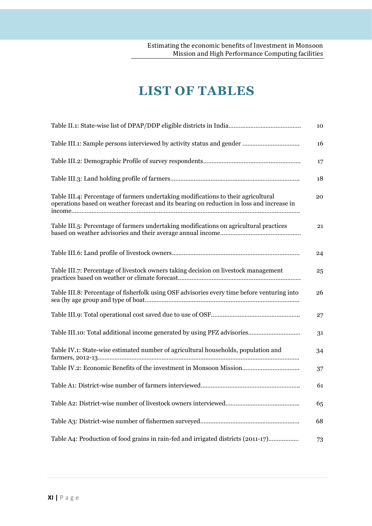# **LIST OF TABLES**

<span id="page-14-0"></span>

|                                                                                                                                                                                 | 16 |  |
|---------------------------------------------------------------------------------------------------------------------------------------------------------------------------------|----|--|
|                                                                                                                                                                                 | 17 |  |
|                                                                                                                                                                                 | 18 |  |
| Table III.4: Percentage of farmers undertaking modifications to their agricultural<br>operations based on weather forecast and its bearing on reduction in loss and increase in | 20 |  |
| Table III.5: Percentage of farmers undertaking modifications on agricultural practices                                                                                          | 21 |  |
|                                                                                                                                                                                 | 24 |  |
| Table III.7: Percentage of livestock owners taking decision on livestock management                                                                                             |    |  |
| Table III.8: Percentage of fisherfolk using OSF advisories every time before venturing into                                                                                     |    |  |
|                                                                                                                                                                                 | 27 |  |
| Table III.10: Total additional income generated by using PFZ advisories                                                                                                         | 31 |  |
| Table IV.1: State-wise estimated number of agricultural households, population and                                                                                              | 34 |  |
|                                                                                                                                                                                 | 37 |  |
|                                                                                                                                                                                 | 61 |  |
|                                                                                                                                                                                 | 65 |  |
|                                                                                                                                                                                 | 68 |  |
| Table A4: Production of food grains in rain-fed and irrigated districts (2011-17)                                                                                               | 73 |  |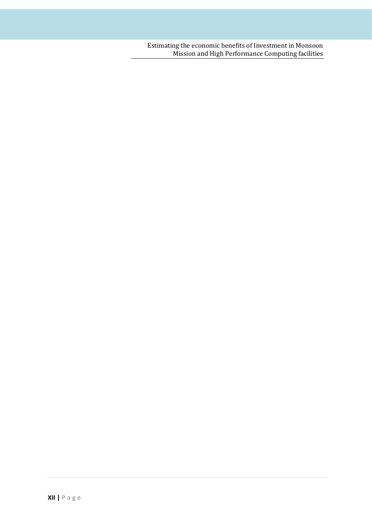Estimating the economic benefits of Investment in Monsoon<br>Mission and High Performance Computing facilities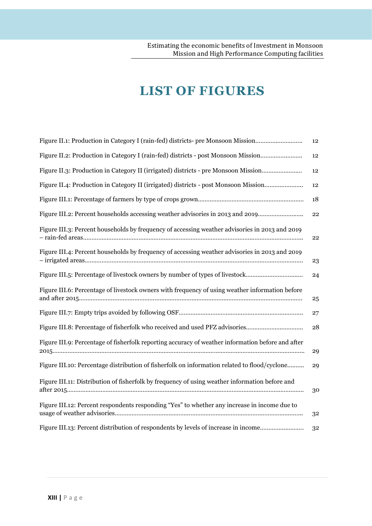# <span id="page-16-0"></span>**LIST OF FIGURES**

| Figure II.1: Production in Category I (rain-fed) districts- pre Monsoon Mission                   | 12 |
|---------------------------------------------------------------------------------------------------|----|
| Figure II.2: Production in Category I (rain-fed) districts - post Monsoon Mission                 | 12 |
| Figure II.3: Production in Category II (irrigated) districts - pre Monsoon Mission                | 12 |
| Figure II.4: Production in Category II (irrigated) districts - post Monsoon Mission               | 12 |
|                                                                                                   | 18 |
| Figure III.2: Percent households accessing weather advisories in 2013 and 2019                    | 22 |
| Figure III.3: Percent households by frequency of accessing weather advisories in 2013 and 2019    | 22 |
| Figure III.4: Percent households by frequency of accessing weather advisories in 2013 and 2019    | 23 |
| Figure III.5: Percentage of livestock owners by number of types of livestock                      | 24 |
| Figure III.6: Percentage of livestock owners with frequency of using weather information before   | 25 |
|                                                                                                   | 27 |
| Figure III.8: Percentage of fisherfolk who received and used PFZ advisories                       | 28 |
| Figure III.9: Percentage of fisherfolk reporting accuracy of weather information before and after | 29 |
| Figure III.10: Percentage distribution of fisherfolk on information related to flood/cyclone      | 29 |
| Figure III.11: Distribution of fisherfolk by frequency of using weather information before and    | 30 |
| Figure III.12: Percent respondents responding "Yes" to whether any increase in income due to      | 32 |
| Figure III.13: Percent distribution of respondents by levels of increase in income                | 32 |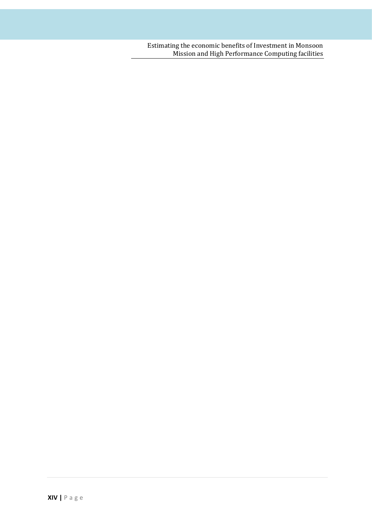Estimating the economic benefits of Investment in Monsoon<br>Mission and High Performance Computing facilities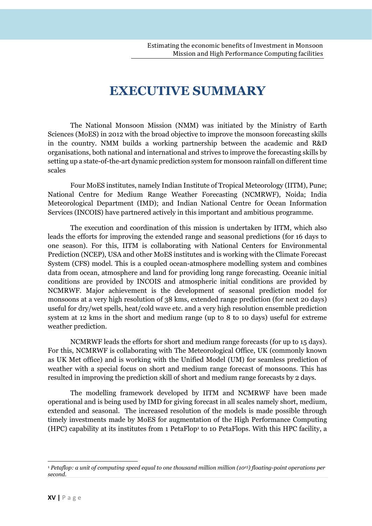# **EXECUTIVE SUMMARY**

<span id="page-18-0"></span>The National Monsoon Mission (NMM) was initiated by the Ministry of Earth Sciences (MoES) in 2012 with the broad objective to improve the monsoon forecasting skills in the country. NMM builds a working partnership between the academic and R&D organisations, both national and international and strives to improve the forecasting skills by setting up a state-of-the-art dynamic prediction system for monsoon rainfall on different time scales

Four MoES institutes, namely Indian Institute of Tropical Meteorology (IITM), Pune; National Centre for Medium Range Weather Forecasting (NCMRWF), Noida; India Meteorological Department (IMD); and Indian National Centre for Ocean Information Services (INCOIS) have partnered actively in this important and ambitious programme.

The execution and coordination of this mission is undertaken by IITM, which also leads the efforts for improving the extended range and seasonal predictions (for 16 days to one season). For this, IITM is collaborating with National Centers for Environmental Prediction (NCEP), USA and other MoES institutes and is working with the Climate Forecast System (CFS) model. This is a coupled ocean-atmosphere modelling system and combines data from ocean, atmosphere and land for providing long range forecasting. Oceanic initial conditions are provided by INCOIS and atmospheric initial conditions are provided by NCMRWF. Major achievement is the development of seasonal prediction model for monsoons at a very high resolution of 38 kms, extended range prediction (for next 20 days) useful for dry/wet spells, heat/cold wave etc. and a very high resolution ensemble prediction system at 12 kms in the short and medium range (up to 8 to 10 days) useful for extreme weather prediction.

NCMRWF leads the efforts for short and medium range forecasts (for up to 15 days). For this, NCMRWF is collaborating with The Meteorological Office, UK (commonly known as UK Met office) and is working with the Unified Model (UM) for seamless prediction of weather with a special focus on short and medium range forecast of monsoons. This has resulted in improving the prediction skill of short and medium range forecasts by 2 days.

The modelling framework developed by IITM and NCMRWF have been made operational and is being used by IMD for giving forecast in all scales namely short, medium, extended and seasonal. The increased resolution of the models is made possible through timely investments made by MoES for augmentation of the High Performance Computing  $(HPC)$  capability at its institutes from 1 PetaFlop<sup>1</sup> to 10 PetaFlops. With this HPC facility, a

 $\overline{\phantom{a}}$ 

<sup>1</sup> *Petaflop: a unit of computing speed equal to one thousand million million (10<sup>15</sup>) floating-point operations per second.*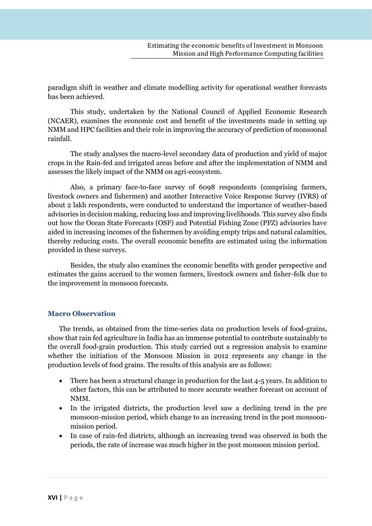paradigm shift in weather and climate modelling activity for operational weather forecasts has been achieved.

This study, undertaken by the National Council of Applied Economic Research (NCAER), examines the economic cost and benefit of the investments made in setting up NMM and HPC facilities and their role in improving the accuracy of prediction of monsoonal rainfall.

The study analyses the macro-level secondary data of production and yield of major crops in the Rain-fed and irrigated areas before and after the implementation of NMM and assesses the likely impact of the NMM on agri-ecosystem.

Also, a primary face-to-face survey of 6098 respondents (comprising farmers, livestock owners and fishermen) and another Interactive Voice Response Survey (IVRS) of about 2 lakh respondents, were conducted to understand the importance of weather-based advisories in decision making, reducing loss and improving livelihoods. This survey also finds out how the Ocean State Forecasts (OSF) and Potential Fishing Zone (PFZ) advisories have aided in increasing incomes of the fishermen by avoiding empty trips and natural calamities, thereby reducing costs. The overall economic benefits are estimated using the information provided in these surveys.

Besides, the study also examines the economic benefits with gender perspective and estimates the gains accrued to the women farmers, livestock owners and fisher-folk due to the improvement in monsoon forecasts.

#### **Macro Observation**

The trends, as obtained from the time-series data on production levels of food-grains, show that rain fed agriculture in India has an immense potential to contribute sustainably to the overall food-grain production. This study carried out a regression analysis to examine whether the initiation of the Monsoon Mission in 2012 represents any change in the production levels of food grains. The results of this analysis are as follows:

- There has been a structural change in production for the last 4-5 years. In addition to other factors, this can be attributed to more accurate weather forecast on account of NMM.
- In the irrigated districts, the production level saw a declining trend in the pre monsoon-mission period, which change to an increasing trend in the post monsoonmission period.
- In case of rain-fed districts, although an increasing trend was observed in both the periods, the rate of increase was much higher in the post monsoon mission period.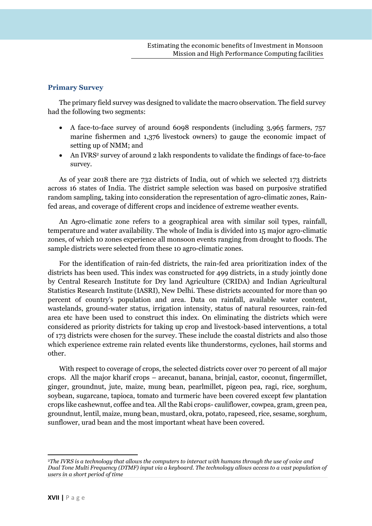#### **Primary Survey**

The primary field survey was designed to validate the macro observation. The field survey had the following two segments:

- A face-to-face survey of around 6098 respondents (including 3,965 farmers, 757 marine fishermen and 1,376 livestock owners) to gauge the economic impact of setting up of NMM; and
- An IVRS<sup>2</sup> survey of around 2 lakh respondents to validate the findings of face-to-face survey.

As of year 2018 there are 732 districts of India, out of which we selected 173 districts across 16 states of India. The district sample selection was based on purposive stratified random sampling, taking into consideration the representation of agro-climatic zones, Rainfed areas, and coverage of different crops and incidence of extreme weather events.

An Agro-climatic zone refers to a geographical area with similar soil types, rainfall, temperature and water availability. The whole of India is divided into 15 major agro-climatic zones, of which 10 zones experience all monsoon events ranging from drought to floods. The sample districts were selected from these 10 agro-climatic zones.

For the identification of rain-fed districts, the rain-fed area prioritization index of the districts has been used. This index was constructed for 499 districts, in a study jointly done by Central Research Institute for Dry land Agriculture (CRIDA) and Indian Agricultural Statistics Research Institute (IASRI), New Delhi. These districts accounted for more than 90 percent of country's population and area. Data on rainfall, available water content, wastelands, ground-water status, irrigation intensity, status of natural resources, rain-fed area etc have been used to construct this index. On eliminating the districts which were considered as priority districts for taking up crop and livestock-based interventions, a total of 173 districts were chosen for the survey. These include the coastal districts and also those which experience extreme rain related events like thunderstorms, cyclones, hail storms and other.

With respect to coverage of crops, the selected districts cover over 70 percent of all major crops. All the major kharif crops – arecanut, banana, brinjal, castor, coconut, fingermillet, ginger, groundnut, jute, maize, mung bean, pearlmillet, pigeon pea, ragi, rice, sorghum, soybean, sugarcane, tapioca, tomato and turmeric have been covered except few plantation crops like cashewnut, coffee and tea. All the Rabi crops- cauliflower, cowpea, gram, green pea, groundnut, lentil, maize, mung bean, mustard, okra, potato, rapeseed, rice, sesame, sorghum, sunflower, urad bean and the most important wheat have been covered.

 $\overline{\phantom{a}}$ 

<sup>2</sup>*The IVRS is a technology that allows the computers to interact with humans through the use of voice and Dual Tone Multi Frequency (DTMF) input via a keyboard. The technology allows access to a vast population of users in a short period of time*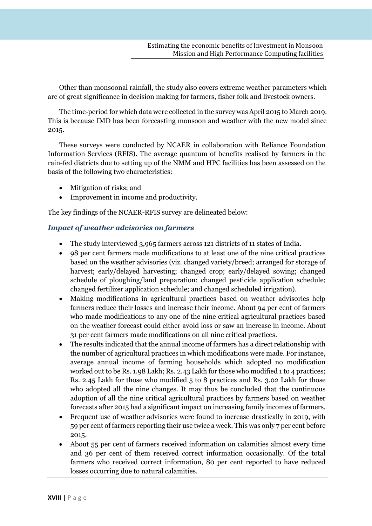Other than monsoonal rainfall, the study also covers extreme weather parameters which are of great significance in decision making for farmers, fisher folk and livestock owners.

The time-period for which data were collected in the survey was April 2015 to March 2019. This is because IMD has been forecasting monsoon and weather with the new model since 2015.

These surveys were conducted by NCAER in collaboration with Reliance Foundation Information Services (RFIS). The average quantum of benefits realised by farmers in the rain-fed districts due to setting up of the NMM and HPC facilities has been assessed on the basis of the following two characteristics:

- Mitigation of risks; and
- Improvement in income and productivity.

The key findings of the NCAER-RFIS survey are delineated below:

#### *Impact of weather advisories on farmers*

- The study interviewed 3,965 farmers across 121 districts of 11 states of India.
- 98 per cent farmers made modifications to at least one of the nine critical practices based on the weather advisories (viz. changed variety/breed; arranged for storage of harvest; early/delayed harvesting; changed crop; early/delayed sowing; changed schedule of ploughing/land preparation; changed pesticide application schedule; changed fertilizer application schedule; and changed scheduled irrigation).
- Making modifications in agricultural practices based on weather advisories help farmers reduce their losses and increase their income. About 94 per cent of farmers who made modifications to any one of the nine critical agricultural practices based on the weather forecast could either avoid loss or saw an increase in income. About 31 per cent farmers made modifications on all nine critical practices.
- The results indicated that the annual income of farmers has a direct relationship with the number of agricultural practices in which modifications were made. For instance, average annual income of farming households which adopted no modification worked out to be Rs. 1.98 Lakh; Rs. 2.43 Lakh for those who modified 1 to 4 practices; Rs. 2.45 Lakh for those who modified 5 to 8 practices and Rs. 3.02 Lakh for those who adopted all the nine changes. It may thus be concluded that the continuous adoption of all the nine critical agricultural practices by farmers based on weather forecasts after 2015 had a significant impact on increasing family incomes of farmers.
- Frequent use of weather advisories were found to increase drastically in 2019, with 59 per cent of farmers reporting their use twice a week. This was only 7 per cent before 2015.
- About 55 per cent of farmers received information on calamities almost every time and 36 per cent of them received correct information occasionally. Of the total farmers who received correct information, 80 per cent reported to have reduced losses occurring due to natural calamities.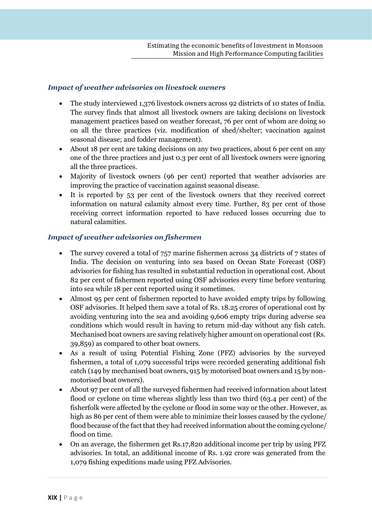#### *Impact of weather advisories on livestock owners*

- The study interviewed 1,376 livestock owners across 92 districts of 10 states of India. The survey finds that almost all livestock owners are taking decisions on livestock management practices based on weather forecast, 76 per cent of whom are doing so on all the three practices (viz. modification of shed/shelter; vaccination against seasonal disease; and fodder management).
- About 18 per cent are taking decisions on any two practices, about 6 per cent on any one of the three practices and just 0.3 per cent of all livestock owners were ignoring all the three practices.
- Majority of livestock owners (96 per cent) reported that weather advisories are improving the practice of vaccination against seasonal disease.
- It is reported by 53 per cent of the livestock owners that they received correct information on natural calamity almost every time. Further, 83 per cent of those receiving correct information reported to have reduced losses occurring due to natural calamities.

#### *Impact of weather advisories on fishermen*

- The survey covered a total of 757 marine fishermen across 34 districts of 7 states of India. The decision on venturing into sea based on Ocean State Forecast (OSF) advisories for fishing has resulted in substantial reduction in operational cost. About 82 per cent of fishermen reported using OSF advisories every time before venturing into sea while 18 per cent reported using it sometimes.
- Almost 95 per cent of fishermen reported to have avoided empty trips by following OSF advisories. It helped them save a total of Rs. 18.25 crores of operational cost by avoiding venturing into the sea and avoiding 9,606 empty trips during adverse sea conditions which would result in having to return mid-day without any fish catch. Mechanised boat owners are saving relatively higher amount on operational cost (Rs. 39,859) as compared to other boat owners.
- As a result of using Potential Fishing Zone (PFZ) advisories by the surveyed fishermen, a total of 1,079 successful trips were recorded generating additional fish catch (149 by mechanised boat owners, 915 by motorised boat owners and 15 by nonmotorised boat owners).
- About 97 per cent of all the surveyed fishermen had received information about latest flood or cyclone on time whereas slightly less than two third (63.4 per cent) of the fisherfolk were affected by the cyclone or flood in some way or the other. However, as high as 86 per cent of them were able to minimize their losses caused by the cyclone/ flood because of the fact that they had received information about the coming cyclone/ flood on time.
- On an average, the fishermen get Rs.17,820 additional income per trip by using PFZ advisories. In total, an additional income of Rs. 1.92 crore was generated from the 1,079 fishing expeditions made using PFZ Advisories.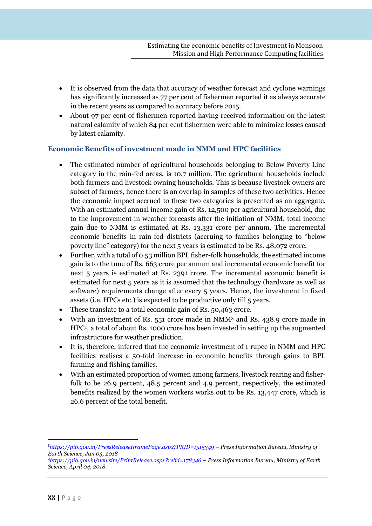- It is observed from the data that accuracy of weather forecast and cyclone warnings has significantly increased as 77 per cent of fishermen reported it as always accurate in the recent years as compared to accuracy before 2015.
- About 97 per cent of fishermen reported having received information on the latest natural calamity of which 84 per cent fishermen were able to minimize losses caused by latest calamity.

#### **Economic Benefits of investment made in NMM and HPC facilities**

- The estimated number of agricultural households belonging to Below Poverty Line category in the rain-fed areas, is 10.7 million. The agricultural households include both farmers and livestock owning households. This is because livestock owners are subset of farmers, hence there is an overlap in samples of these two activities. Hence the economic impact accrued to these two categories is presented as an aggregate. With an estimated annual income gain of Rs. 12,500 per agricultural household, due to the improvement in weather forecasts after the initiation of NMM, total income gain due to NMM is estimated at Rs. 13,331 crore per annum. The incremental economic benefits in rain-fed districts (accruing to families belonging to "below poverty line" category) for the next 5 years is estimated to be Rs. 48,072 crore.
- Further, with a total of 0.53 million BPL fisher-folk households, the estimated income gain is to the tune of Rs. 663 crore per annum and incremental economic benefit for next 5 years is estimated at Rs. 2391 crore. The incremental economic benefit is estimated for next 5 years as it is assumed that the technology (hardware as well as software) requirements change after every 5 years. Hence, the investment in fixed assets (i.e. HPCs etc.) is expected to be productive only till 5 years.
- These translate to a total economic gain of Rs. 50,463 crore.
- With an investment of Rs. 551 crore made in NMM<sup>3</sup> and Rs. 438.9 crore made in HPC<sup>4</sup> , a total of about Rs. 1000 crore has been invested in setting up the augmented infrastructure for weather prediction.
- It is, therefore, inferred that the economic investment of 1 rupee in NMM and HPC facilities realises a 50-fold increase in economic benefits through gains to BPL farming and fishing families.
- With an estimated proportion of women among farmers, livestock rearing and fisherfolk to be 26.9 percent, 48.5 percent and 4.9 percent, respectively, the estimated benefits realized by the women workers works out to be Rs. 13,447 crore, which is 26.6 percent of the total benefit.

 $\overline{\phantom{a}}$ 

<sup>3</sup>*<https://pib.gov.in/PressReleaseIframePage.aspx?PRID=1515349> – Press Information Bureau, Ministry of Earth Science, Jan 03, 2018*

*<sup>4</sup><https://pib.gov.in/newsite/PrintRelease.aspx?relid=178346> – Press Information Bureau, Ministry of Earth Science, April 04, 2018.*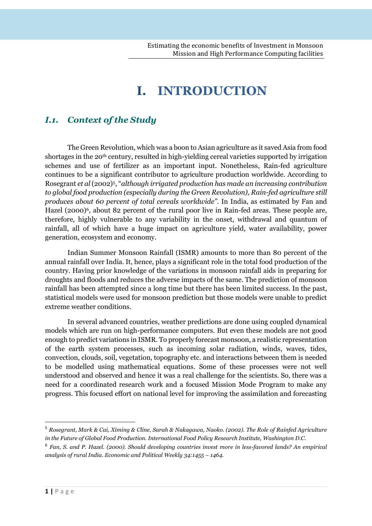# **I. INTRODUCTION**

### <span id="page-24-1"></span><span id="page-24-0"></span>*I.1. Context of the Study*

The Green Revolution, which was a boon to Asian agriculture as it saved Asia from food shortages in the 20th century, resulted in high-yielding cereal varieties supported by irrigation schemes and use of fertilizer as an important input. Nonetheless, Rain-fed agriculture continues to be a significant contributor to agriculture production worldwide. According to Rosegrant *et al*(2002)<sup>5</sup> , "*although irrigated production has made an increasing contribution to global food production (especially during the Green Revolution), Rain-fed agriculture still produces about 60 percent of total cereals worldwide"*. In India, as estimated by Fan and Hazel (2000)<sup>6</sup>, about 82 percent of the rural poor live in Rain-fed areas. These people are, therefore, highly vulnerable to any variability in the onset, withdrawal and quantum of rainfall, all of which have a huge impact on agriculture yield, water availability, power generation, ecosystem and economy.

Indian Summer Monsoon Rainfall (ISMR) amounts to more than 80 percent of the annual rainfall over India. It, hence, plays a significant role in the total food production of the country. Having prior knowledge of the variations in monsoon rainfall aids in preparing for droughts and floods and reduces the adverse impacts of the same. The prediction of monsoon rainfall has been attempted since a long time but there has been limited success. In the past, statistical models were used for monsoon prediction but those models were unable to predict extreme weather conditions.

In several advanced countries, weather predictions are done using coupled dynamical models which are run on high-performance computers. But even these models are not good enough to predict variations in ISMR. To properly forecast monsoon, a realistic representation of the earth system processes, such as incoming solar radiation, winds, waves, tides, convection, clouds, soil, vegetation, topography etc. and interactions between them is needed to be modelled using mathematical equations. Some of these processes were not well understood and observed and hence it was a real challenge for the scientists. So, there was a need for a coordinated research work and a focused Mission Mode Program to make any progress. This focused effort on national level for improving the assimilation and forecasting

 $\overline{a}$ 

<sup>5</sup> *Rosegrant, Mark & Cai, Ximing & Cline, Sarah & Nakagawa, Naoko. (2002). The Role of Rainfed Agriculture in the Future of Global Food Production. International Food Policy Research Institute, Washington D.C.*

<sup>6</sup> *Fan, S. and P. Hazel. (2000). Should developing countries invest more in less-favored lands? An empirical analysis of rural India. Economic and Political Weekly 34:1455 – 1464.*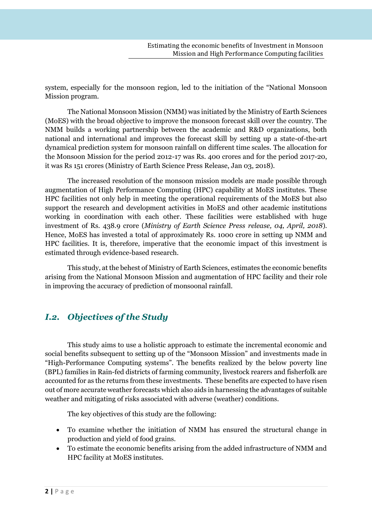system, especially for the monsoon region, led to the initiation of the "National Monsoon Mission program.

The National Monsoon Mission (NMM) was initiated by the Ministry of Earth Sciences (MoES) with the broad objective to improve the monsoon forecast skill over the country. The NMM builds a working partnership between the academic and R&D organizations, both national and international and improves the forecast skill by setting up a state-of-the-art dynamical prediction system for monsoon rainfall on different time scales. The allocation for the Monsoon Mission for the period 2012-17 was Rs. 400 crores and for the period 2017-20, it was Rs 151 crores (Ministry of Earth Science Press Release, Jan 03, 2018).

The increased resolution of the monsoon mission models are made possible through augmentation of High Performance Computing (HPC) capability at MoES institutes. These HPC facilities not only help in meeting the operational requirements of the MoES but also support the research and development activities in MoES and other academic institutions working in coordination with each other. These facilities were established with huge investment of Rs. 438.9 crore (*Ministry of Earth Science Press release, 04, April, 2018*). Hence, MoES has invested a total of approximately Rs. 1000 crore in setting up NMM and HPC facilities. It is, therefore, imperative that the economic impact of this investment is estimated through evidence-based research.

This study, at the behest of Ministry of Earth Sciences, estimates the economic benefits arising from the National Monsoon Mission and augmentation of HPC facility and their role in improving the accuracy of prediction of monsoonal rainfall.

### <span id="page-25-0"></span>*I.2. Objectives of the Study*

This study aims to use a holistic approach to estimate the incremental economic and social benefits subsequent to setting up of the "Monsoon Mission" and investments made in "High-Performance Computing systems". The benefits realized by the below poverty line (BPL) families in Rain-fed districts of farming community, livestock rearers and fisherfolk are accounted for as the returns from these investments. These benefits are expected to have risen out of more accurate weather forecasts which also aids in harnessing the advantages of suitable weather and mitigating of risks associated with adverse (weather) conditions.

The key objectives of this study are the following:

- To examine whether the initiation of NMM has ensured the structural change in production and yield of food grains.
- To estimate the economic benefits arising from the added infrastructure of NMM and HPC facility at MoES institutes.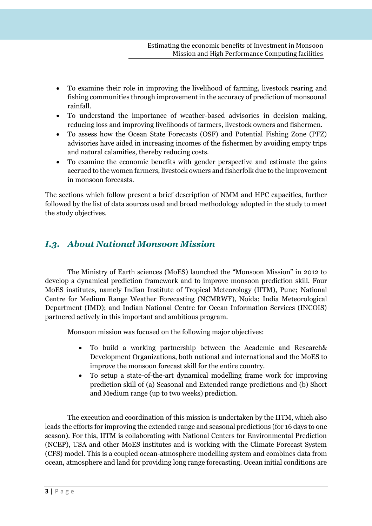- To examine their role in improving the livelihood of farming, livestock rearing and fishing communities through improvement in the accuracy of prediction of monsoonal rainfall.
- To understand the importance of weather-based advisories in decision making, reducing loss and improving livelihoods of farmers, livestock owners and fishermen.
- To assess how the Ocean State Forecasts (OSF) and Potential Fishing Zone (PFZ) advisories have aided in increasing incomes of the fishermen by avoiding empty trips and natural calamities, thereby reducing costs.
- To examine the economic benefits with gender perspective and estimate the gains accrued to the women farmers, livestock owners and fisherfolk due to the improvement in monsoon forecasts.

The sections which follow present a brief description of NMM and HPC capacities, further followed by the list of data sources used and broad methodology adopted in the study to meet the study objectives.

## <span id="page-26-0"></span>*I.3. About National Monsoon Mission*

The Ministry of Earth sciences (MoES) launched the "Monsoon Mission" in 2012 to develop a dynamical prediction framework and to improve monsoon prediction skill. Four MoES institutes, namely Indian Institute of Tropical Meteorology (IITM), Pune; National Centre for Medium Range Weather Forecasting (NCMRWF), Noida; India Meteorological Department (IMD); and Indian National Centre for Ocean Information Services (INCOIS) partnered actively in this important and ambitious program.

Monsoon mission was focused on the following major objectives:

- To build a working partnership between the Academic and Research& Development Organizations, both national and international and the MoES to improve the monsoon forecast skill for the entire country.
- To setup a state-of-the-art dynamical modelling frame work for improving prediction skill of (a) Seasonal and Extended range predictions and (b) Short and Medium range (up to two weeks) prediction.

The execution and coordination of this mission is undertaken by the IITM, which also leads the efforts for improving the extended range and seasonal predictions (for 16 days to one season). For this, IITM is collaborating with National Centers for Environmental Prediction (NCEP), USA and other MoES institutes and is working with the Climate Forecast System (CFS) model. This is a coupled ocean-atmosphere modelling system and combines data from ocean, atmosphere and land for providing long range forecasting. Ocean initial conditions are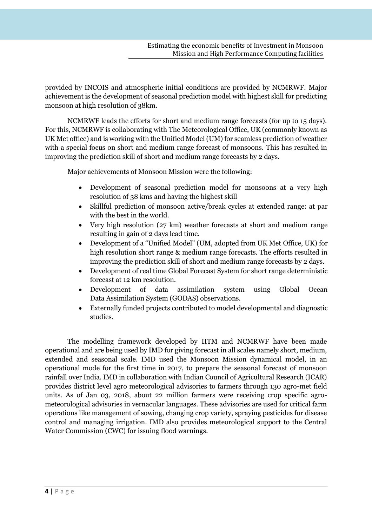provided by INCOIS and atmospheric initial conditions are provided by NCMRWF. Major achievement is the development of seasonal prediction model with highest skill for predicting monsoon at high resolution of 38km.

NCMRWF leads the efforts for short and medium range forecasts (for up to 15 days). For this, NCMRWF is collaborating with The Meteorological Office, UK (commonly known as UK Met office) and is working with the Unified Model (UM) for seamless prediction of weather with a special focus on short and medium range forecast of monsoons. This has resulted in improving the prediction skill of short and medium range forecasts by 2 days.

Major achievements of Monsoon Mission were the following:

- Development of seasonal prediction model for monsoons at a very high resolution of 38 kms and having the highest skill
- Skillful prediction of monsoon active/break cycles at extended range: at par with the best in the world.
- Very high resolution (27 km) weather forecasts at short and medium range resulting in gain of 2 days lead time.
- Development of a "Unified Model" (UM, adopted from UK Met Office, UK) for high resolution short range & medium range forecasts. The efforts resulted in improving the prediction skill of short and medium range forecasts by 2 days.
- Development of real time Global Forecast System for short range deterministic forecast at 12 km resolution.
- Development of data assimilation system using Global Ocean Data Assimilation System (GODAS) observations.
- Externally funded projects contributed to model developmental and diagnostic studies.

The modelling framework developed by IITM and NCMRWF have been made operational and are being used by IMD for giving forecast in all scales namely short, medium, extended and seasonal scale. IMD used the Monsoon Mission dynamical model, in an operational mode for the first time in 2017, to prepare the seasonal forecast of monsoon rainfall over India. IMD in collaboration with Indian Council of Agricultural Research (ICAR) provides district level agro meteorological advisories to farmers through 130 agro-met field units. As of Jan 03, 2018, about 22 million farmers were receiving crop specific agrometeorological advisories in vernacular languages. These advisories are used for critical farm operations like management of sowing, changing crop variety, spraying pesticides for disease control and managing irrigation. IMD also provides meteorological support to the Central Water Commission (CWC) for issuing flood warnings.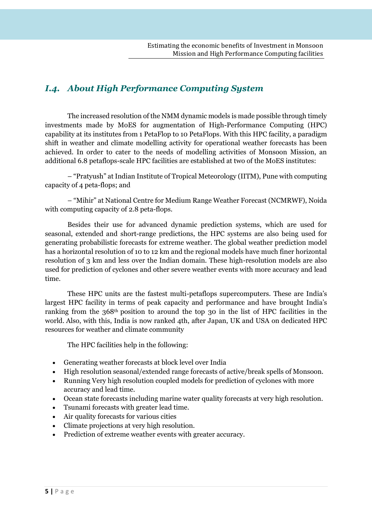## <span id="page-28-0"></span>*I.4. About High Performance Computing System*

The increased resolution of the NMM dynamic models is made possible through timely investments made by MoES for augmentation of High-Performance Computing (HPC) capability at its institutes from 1 PetaFlop to 10 PetaFlops. With this HPC facility, a paradigm shift in weather and climate modelling activity for operational weather forecasts has been achieved. In order to cater to the needs of modelling activities of Monsoon Mission, an additional 6.8 petaflops-scale HPC facilities are established at two of the MoES institutes:

– "Pratyush" at Indian Institute of Tropical Meteorology (IITM), Pune with computing capacity of 4 peta-flops; and

– "Mihir" at National Centre for Medium Range Weather Forecast (NCMRWF), Noida with computing capacity of 2.8 peta-flops.

Besides their use for advanced dynamic prediction systems, which are used for seasonal, extended and short-range predictions, the HPC systems are also being used for generating probabilistic forecasts for extreme weather. The global weather prediction model has a horizontal resolution of 10 to 12 km and the regional models have much finer horizontal resolution of 3 km and less over the Indian domain. These high-resolution models are also used for prediction of cyclones and other severe weather events with more accuracy and lead time.

These HPC units are the fastest multi-petaflops supercomputers. These are India's largest HPC facility in terms of peak capacity and performance and have brought India's ranking from the 368th position to around the top 30 in the list of HPC facilities in the world. Also, with this, India is now ranked 4th, after Japan, UK and USA on dedicated HPC resources for weather and climate community

The HPC facilities help in the following:

- Generating weather forecasts at block level over India
- High resolution seasonal/extended range forecasts of active/break spells of Monsoon.
- Running Very high resolution coupled models for prediction of cyclones with more accuracy and lead time.
- Ocean state forecasts including marine water quality forecasts at very high resolution.
- Tsunami forecasts with greater lead time.
- Air quality forecasts for various cities
- Climate projections at very high resolution.
- Prediction of extreme weather events with greater accuracy.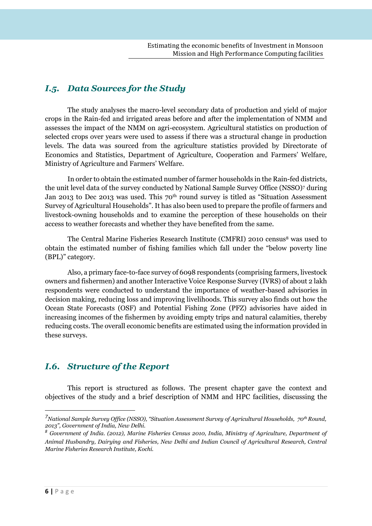### <span id="page-29-0"></span>*I.5. Data Sources for the Study*

The study analyses the macro-level secondary data of production and yield of major crops in the Rain-fed and irrigated areas before and after the implementation of NMM and assesses the impact of the NMM on agri-ecosystem. Agricultural statistics on production of selected crops over years were used to assess if there was a structural change in production levels. The data was sourced from the agriculture statistics provided by Directorate of Economics and Statistics, Department of Agriculture, Cooperation and Farmers' Welfare, Ministry of Agriculture and Farmers' Welfare.

In order to obtain the estimated number of farmer households in the Rain-fed districts, the unit level data of the survey conducted by National Sample Survey Office (NSSO)<sup>7</sup> during Jan 2013 to Dec 2013 was used. This 70<sup>th</sup> round survey is titled as "Situation Assessment" Survey of Agricultural Households". It has also been used to prepare the profile of farmers and livestock-owning households and to examine the perception of these households on their access to weather forecasts and whether they have benefited from the same.

The Central Marine Fisheries Research Institute (CMFRI) 2010 census<sup>8</sup> was used to obtain the estimated number of fishing families which fall under the "below poverty line (BPL)" category.

Also, a primary face-to-face survey of 6098 respondents (comprising farmers, livestock owners and fishermen) and another Interactive Voice Response Survey (IVRS) of about 2 lakh respondents were conducted to understand the importance of weather-based advisories in decision making, reducing loss and improving livelihoods. This survey also finds out how the Ocean State Forecasts (OSF) and Potential Fishing Zone (PFZ) advisories have aided in increasing incomes of the fishermen by avoiding empty trips and natural calamities, thereby reducing costs. The overall economic benefits are estimated using the information provided in these surveys.

### <span id="page-29-1"></span>*I.6. Structure of the Report*

This report is structured as follows. The present chapter gave the context and objectives of the study and a brief description of NMM and HPC facilities, discussing the

 $\overline{a}$ 

*<sup>7</sup>National Sample Survey Office (NSSO), "Situation Assessment Survey of Agricultural Households, 70th Round, 2013", Government of India, New Delhi.*

*<sup>8</sup> Government of India. (2012), Marine Fisheries Census 2010, India, Ministry of Agriculture, Department of Animal Husbandry, Dairying and Fisheries, New Delhi and Indian Council of Agricultural Research, Central Marine Fisheries Research Institute, Kochi.*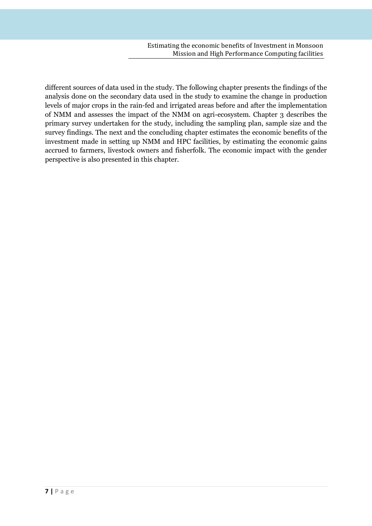different sources of data used in the study. The following chapter presents the findings of the analysis done on the secondary data used in the study to examine the change in production levels of major crops in the rain-fed and irrigated areas before and after the implementation of NMM and assesses the impact of the NMM on agri-ecosystem. Chapter 3 describes the primary survey undertaken for the study, including the sampling plan, sample size and the survey findings. The next and the concluding chapter estimates the economic benefits of the investment made in setting up NMM and HPC facilities, by estimating the economic gains accrued to farmers, livestock owners and fisherfolk. The economic impact with the gender perspective is also presented in this chapter.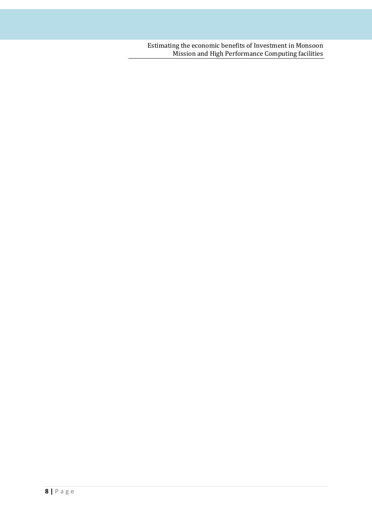Estimating the economic benefits of Investment in Monsoon Mission and High Performance Computing facilities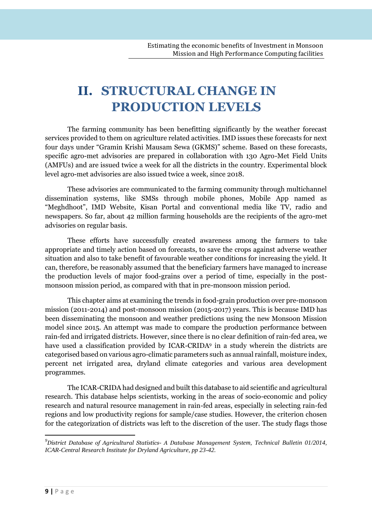# <span id="page-32-0"></span>**II. STRUCTURAL CHANGE IN PRODUCTION LEVELS**

The farming community has been benefitting significantly by the weather forecast services provided to them on agriculture related activities. IMD issues these forecasts for next four days under "Gramin Krishi Mausam Sewa (GKMS)" scheme. Based on these forecasts, specific agro-met advisories are prepared in collaboration with 130 Agro-Met Field Units (AMFUs) and are issued twice a week for all the districts in the country. Experimental block level agro-met advisories are also issued twice a week, since 2018.

These advisories are communicated to the farming community through multichannel dissemination systems, like SMSs through mobile phones, Mobile App named as "Meghdhoot", IMD Website, Kisan Portal and conventional media like TV, radio and newspapers. So far, about 42 million farming households are the recipients of the agro-met advisories on regular basis.

These efforts have successfully created awareness among the farmers to take appropriate and timely action based on forecasts, to save the crops against adverse weather situation and also to take benefit of favourable weather conditions for increasing the yield. It can, therefore, be reasonably assumed that the beneficiary farmers have managed to increase the production levels of major food-grains over a period of time, especially in the postmonsoon mission period, as compared with that in pre-monsoon mission period.

This chapter aims at examining the trends in food-grain production over pre-monsoon mission (2011-2014) and post-monsoon mission (2015-2017) years. This is because IMD has been disseminating the monsoon and weather predictions using the new Monsoon Mission model since 2015. An attempt was made to compare the production performance between rain-fed and irrigated districts. However, since there is no clear definition of rain-fed area, we have used a classification provided by ICAR-CRIDA<sup>9</sup> in a study wherein the districts are categorised based on various agro-climatic parameters such as annual rainfall, moisture index, percent net irrigated area, dryland climate categories and various area development programmes.

The ICAR-CRIDA had designed and built this database to aid scientific and agricultural research. This database helps scientists, working in the areas of socio-economic and policy research and natural resource management in rain-fed areas, especially in selecting rain-fed regions and low productivity regions for sample/case studies. However, the criterion chosen for the categorization of districts was left to the discretion of the user. The study flags those

 $\overline{a}$ 

*<sup>9</sup>District Database of Agricultural Statistics- A Database Management System, Technical Bulletin 01/2014, ICAR-Central Research Institute for Dryland Agriculture, pp 23-42.*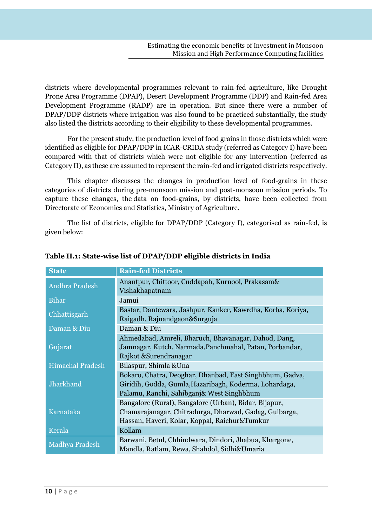districts where developmental programmes relevant to rain-fed agriculture, like Drought Prone Area Programme (DPAP), Desert Development Programme (DDP) and Rain-fed Area Development Programme (RADP) are in operation. But since there were a number of DPAP/DDP districts where irrigation was also found to be practiced substantially, the study also listed the districts according to their eligibility to these developmental programmes.

For the present study, the production level of food grains in those districts which were identified as eligible for DPAP/DDP in ICAR-CRIDA study (referred as Category I) have been compared with that of districts which were not eligible for any intervention (referred as Category II), as these are assumed to represent the rain-fed and irrigated districts respectively.

This chapter discusses the changes in production level of food-grains in these categories of districts during pre-monsoon mission and post-monsoon mission periods. To capture these changes, the data on food-grains, by districts, have been collected from Directorate of Economics and Statistics, Ministry of Agriculture.

The list of districts, eligible for DPAP/DDP (Category I), categorised as rain-fed, is given below:

| <b>State</b>            | <b>Rain-fed Districts</b>                                                                                                                                        |
|-------------------------|------------------------------------------------------------------------------------------------------------------------------------------------------------------|
| <b>Andhra Pradesh</b>   | Anantpur, Chittoor, Cuddapah, Kurnool, Prakasam&<br>Vishakhapatnam                                                                                               |
| <b>Bihar</b>            | Jamui                                                                                                                                                            |
| Chhattisgarh            | Bastar, Dantewara, Jashpur, Kanker, Kawrdha, Korba, Koriya,<br>Raigadh, Rajnandgaon&Surguja                                                                      |
| Daman & Diu             | Daman & Diu                                                                                                                                                      |
| Gujarat                 | Ahmedabad, Amreli, Bharuch, Bhavanagar, Dahod, Dang,<br>Jamnagar, Kutch, Narmada, Panchmahal, Patan, Porbandar,<br>Rajkot & Surendranagar                        |
| <b>Himachal Pradesh</b> | Bilaspur, Shimla & Una                                                                                                                                           |
| Jharkhand               | Bokaro, Chatra, Deoghar, Dhanbad, East Singhbhum, Gadva,<br>Giridih, Godda, Gumla, Hazaribagh, Koderma, Lohardaga,<br>Palamu, Ranchi, Sahibganj& West Singhbhum  |
| Karnataka               | Bangalore (Rural), Bangalore (Urban), Bidar, Bijapur,<br>Chamarajanagar, Chitradurga, Dharwad, Gadag, Gulbarga,<br>Hassan, Haveri, Kolar, Koppal, Raichur&Tumkur |
| Kerala                  | Kollam                                                                                                                                                           |
| Madhya Pradesh          | Barwani, Betul, Chhindwara, Dindori, Jhabua, Khargone,<br>Mandla, Ratlam, Rewa, Shahdol, Sidhi&Umaria                                                            |

#### **Table II.1: State-wise list of DPAP/DDP eligible districts in India**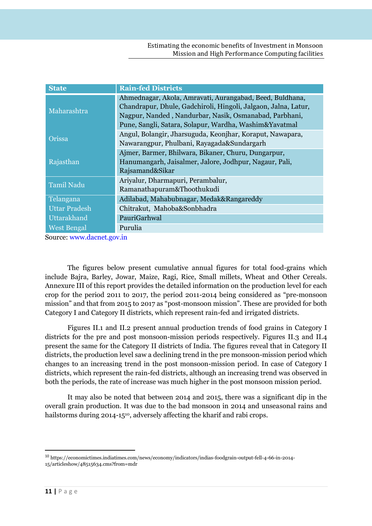| <b>State</b>         | <b>Rain-fed Districts</b>                                                                                                                                                                                                                      |
|----------------------|------------------------------------------------------------------------------------------------------------------------------------------------------------------------------------------------------------------------------------------------|
| Maharashtra          | Ahmednagar, Akola, Amravati, Aurangabad, Beed, Buldhana,<br>Chandrapur, Dhule, Gadchiroli, Hingoli, Jalgaon, Jalna, Latur,<br>Nagpur, Nanded, Nandurbar, Nasik, Osmanabad, Parbhani,<br>Pune, Sangli, Satara, Solapur, Wardha, Washim&Yavatmal |
| Orissa               | Angul, Bolangir, Jharsuguda, Keonjhar, Koraput, Nawapara,<br>Nawarangpur, Phulbani, Rayagada&Sundargarh                                                                                                                                        |
| Rajasthan            | Ajmer, Barmer, Bhilwara, Bikaner, Churu, Dungarpur,<br>Hanumangarh, Jaisalmer, Jalore, Jodhpur, Nagaur, Pali,<br>Rajsamand&Sikar                                                                                                               |
| <b>Tamil Nadu</b>    | Ariyalur, Dharmapuri, Perambalur,<br>Ramanathapuram&Thoothukudi                                                                                                                                                                                |
| Telangana            | Adilabad, Mahabubnagar, Medak&Rangareddy                                                                                                                                                                                                       |
| <b>Uttar Pradesh</b> | Chitrakut, Mahoba&Sonbhadra                                                                                                                                                                                                                    |
| Uttarakhand          | PauriGarhwal                                                                                                                                                                                                                                   |
| <b>West Bengal</b>   | Purulia                                                                                                                                                                                                                                        |

Source: [www.dacnet.gov.in](http://www.dacnet.gov.in/)

The figures below present cumulative annual figures for total food-grains which include Bajra, Barley, Jowar, Maize, Ragi, Rice, Small millets, Wheat and Other Cereals. Annexure III of this report provides the detailed information on the production level for each crop for the period 2011 to 2017, the period 2011-2014 being considered as "pre-monsoon mission" and that from 2015 to 2017 as "post-monsoon mission". These are provided for both Category I and Category II districts, which represent rain-fed and irrigated districts.

Figures II.1 and II.2 present annual production trends of food grains in Category I districts for the pre and post monsoon-mission periods respectively. Figures II.3 and II.4 present the same for the Category II districts of India. The figures reveal that in Category II districts, the production level saw a declining trend in the pre monsoon-mission period which changes to an increasing trend in the post monsoon-mission period. In case of Category I districts, which represent the rain-fed districts, although an increasing trend was observed in both the periods, the rate of increase was much higher in the post monsoon mission period.

It may also be noted that between 2014 and 2015, there was a significant dip in the overall grain production. It was due to the bad monsoon in 2014 and unseasonal rains and hailstorms during 2014-15<sup>10</sup>, adversely affecting the kharif and rabi crops.

 $\overline{\phantom{a}}$ 

<sup>10</sup> https://economictimes.indiatimes.com/news/economy/indicators/indias-foodgrain-output-fell-4-66-in-2014- 15/articleshow/48515634.cms?from=mdr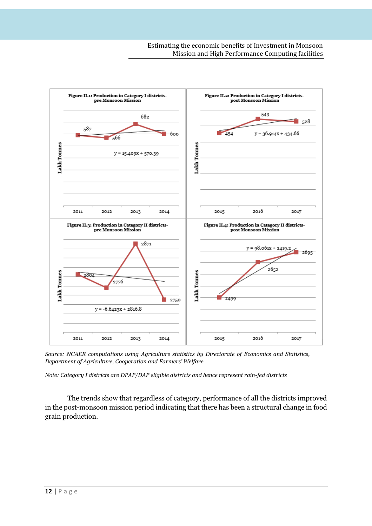

*Source: NCAER computations using Agriculture statistics by Directorate of Economics and Statistics, Department of Agriculture, Cooperation and Farmers' Welfare*

*Note: Category I districts are DPAP/DAP eligible districts and hence represent rain-fed districts* 

The trends show that regardless of category, performance of all the districts improved in the post-monsoon mission period indicating that there has been a structural change in food grain production.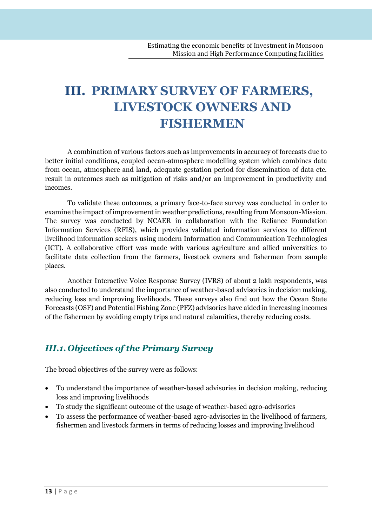# **III. PRIMARY SURVEY OF FARMERS, LIVESTOCK OWNERS AND FISHERMEN**

A combination of various factors such as improvements in accuracy of forecasts due to better initial conditions, coupled ocean-atmosphere modelling system which combines data from ocean, atmosphere and land, adequate gestation period for dissemination of data etc. result in outcomes such as mitigation of risks and/or an improvement in productivity and incomes.

To validate these outcomes, a primary face-to-face survey was conducted in order to examine the impact of improvement in weather predictions, resulting from Monsoon-Mission. The survey was conducted by NCAER in collaboration with the Reliance Foundation Information Services (RFIS), which provides validated information services to different livelihood information seekers using modern Information and Communication Technologies (ICT). A collaborative effort was made with various agriculture and allied universities to facilitate data collection from the farmers, livestock owners and fishermen from sample places.

Another Interactive Voice Response Survey (IVRS) of about 2 lakh respondents, was also conducted to understand the importance of weather-based advisories in decision making, reducing loss and improving livelihoods. These surveys also find out how the Ocean State Forecasts (OSF) and Potential Fishing Zone (PFZ) advisories have aided in increasing incomes of the fishermen by avoiding empty trips and natural calamities, thereby reducing costs.

# *III.1. Objectives of the Primary Survey*

The broad objectives of the survey were as follows:

- To understand the importance of weather-based advisories in decision making, reducing loss and improving livelihoods
- To study the significant outcome of the usage of weather-based agro-advisories
- To assess the performance of weather-based agro-advisories in the livelihood of farmers, fishermen and livestock farmers in terms of reducing losses and improving livelihood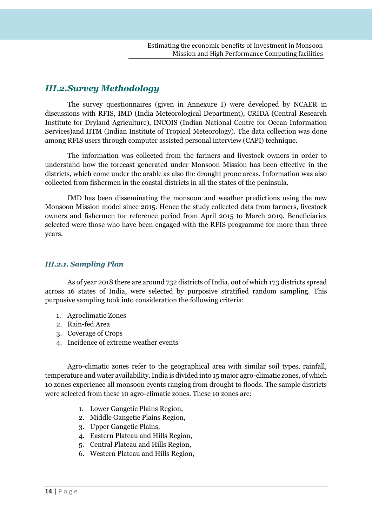# *III.2.Survey Methodology*

The survey questionnaires (given in Annexure I) were developed by NCAER in discussions with RFIS, IMD (India Meteorological Department), CRIDA (Central Research Institute for Dryland Agriculture), INCOIS (Indian National Centre for Ocean Information Services)and IITM (Indian Institute of Tropical Meteorology). The data collection was done among RFIS users through computer assisted personal interview (CAPI) technique.

The information was collected from the farmers and livestock owners in order to understand how the forecast generated under Monsoon Mission has been effective in the districts, which come under the arable as also the drought prone areas. Information was also collected from fishermen in the coastal districts in all the states of the peninsula.

IMD has been disseminating the monsoon and weather predictions using the new Monsoon Mission model since 2015. Hence the study collected data from farmers, livestock owners and fishermen for reference period from April 2015 to March 2019. Beneficiaries selected were those who have been engaged with the RFIS programme for more than three years.

### *III.2.1. Sampling Plan*

As of year 2018 there are around 732 districts of India, out of which 173 districts spread across 16 states of India, were selected by purposive stratified random sampling. This purposive sampling took into consideration the following criteria:

- 1. Agroclimatic Zones
- 2. Rain-fed Area
- 3. Coverage of Crops
- 4. Incidence of extreme weather events

Agro-climatic zones refer to the geographical area with similar soil types, rainfall, temperature and water availability. India is divided into 15 major agro-climatic zones, of which 10 zones experience all monsoon events ranging from drought to floods. The sample districts were selected from these 10 agro-climatic zones. These 10 zones are:

- 1. Lower Gangetic Plains Region,
- 2. Middle Gangetic Plains Region,
- 3. Upper Gangetic Plains,
- 4. Eastern Plateau and Hills Region,
- 5. Central Plateau and Hills Region,
- 6. Western Plateau and Hills Region,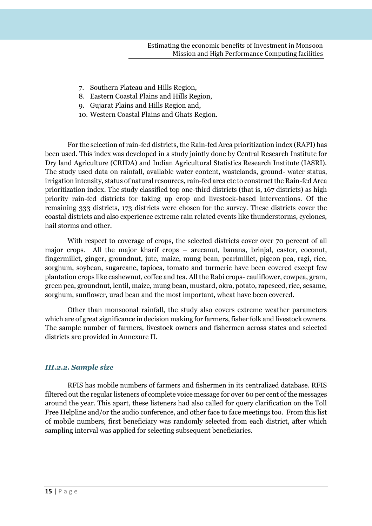- 7. Southern Plateau and Hills Region,
- 8. Eastern Coastal Plains and Hills Region,
- 9. Gujarat Plains and Hills Region and,
- 10. Western Coastal Plains and Ghats Region.

For the selection of rain-fed districts, the Rain-fed Area prioritization index (RAPI) has been used. This index was developed in a study jointly done by Central Research Institute for Dry land Agriculture (CRIDA) and Indian Agricultural Statistics Research Institute (IASRI). The study used data on rainfall, available water content, wastelands, ground- water status, irrigation intensity, status of natural resources, rain-fed area etc to construct the Rain-fed Area prioritization index. The study classified top one-third districts (that is, 167 districts) as high priority rain-fed districts for taking up crop and livestock-based interventions. Of the remaining 333 districts, 173 districts were chosen for the survey. These districts cover the coastal districts and also experience extreme rain related events like thunderstorms, cyclones, hail storms and other.

With respect to coverage of crops, the selected districts cover over 70 percent of all major crops. All the major kharif crops – arecanut, banana, brinjal, castor, coconut, fingermillet, ginger, groundnut, jute, maize, mung bean, pearlmillet, pigeon pea, ragi, rice, sorghum, soybean, sugarcane, tapioca, tomato and turmeric have been covered except few plantation crops like cashewnut, coffee and tea. All the Rabi crops- cauliflower, cowpea, gram, green pea, groundnut, lentil, maize, mung bean, mustard, okra, potato, rapeseed, rice, sesame, sorghum, sunflower, urad bean and the most important, wheat have been covered.

Other than monsoonal rainfall, the study also covers extreme weather parameters which are of great significance in decision making for farmers, fisher folk and livestock owners. The sample number of farmers, livestock owners and fishermen across states and selected districts are provided in Annexure II.

### *III.2.2. Sample size*

RFIS has mobile numbers of farmers and fishermen in its centralized database. RFIS filtered out the regular listeners of complete voice message for over 60 per cent of the messages around the year. This apart, these listeners had also called for query clarification on the Toll Free Helpline and/or the audio conference, and other face to face meetings too. From this list of mobile numbers, first beneficiary was randomly selected from each district, after which sampling interval was applied for selecting subsequent beneficiaries.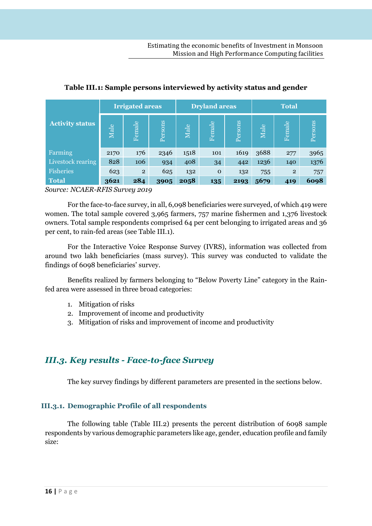|                        | <b>Irrigated areas</b> |                |         | <b>Dryland areas</b> |             |         | <b>Total</b> |                |         |
|------------------------|------------------------|----------------|---------|----------------------|-------------|---------|--------------|----------------|---------|
| <b>Activity status</b> | Male                   | Female         | Persons | Male                 | Female      | Persons | Male         | Female         | Persons |
| Farming                | 2170                   | 176            | 2346    | 1518                 | 101         | 1619    | 3688         | 277            | 3965    |
| Livestock rearing      | 828                    | 106            | 934     | 408                  | 34          | 442     | 1236         | 140            | 1376    |
| Fisheries              | 623                    | $\overline{2}$ | 625     | 132                  | $\mathbf 0$ | 132     | 755          | $\overline{2}$ | 757     |
| <b>Total</b>           | 3621                   | 284            | 3905    | 2058                 | 135         | 2193    | 5679         | 419            | 6098    |

# **Table III.1: Sample persons interviewed by activity status and gender**

*Source: NCAER-RFIS Survey 2019*

For the face-to-face survey, in all, 6,098 beneficiaries were surveyed, of which 419 were women. The total sample covered 3,965 farmers, 757 marine fishermen and 1,376 livestock owners. Total sample respondents comprised 64 per cent belonging to irrigated areas and 36 per cent, to rain-fed areas (see Table III.1).

For the Interactive Voice Response Survey (IVRS), information was collected from around two lakh beneficiaries (mass survey). This survey was conducted to validate the findings of 6098 beneficiaries' survey.

Benefits realized by farmers belonging to "Below Poverty Line" category in the Rainfed area were assessed in three broad categories:

- 1. Mitigation of risks
- 2. Improvement of income and productivity
- 3. Mitigation of risks and improvement of income and productivity

# *III.3. Key results - Face-to-face Survey*

The key survey findings by different parameters are presented in the sections below.

### **III.3.1. Demographic Profile of all respondents**

The following table (Table III.2) presents the percent distribution of 6098 sample respondents by various demographic parameters like age, gender, education profile and family size: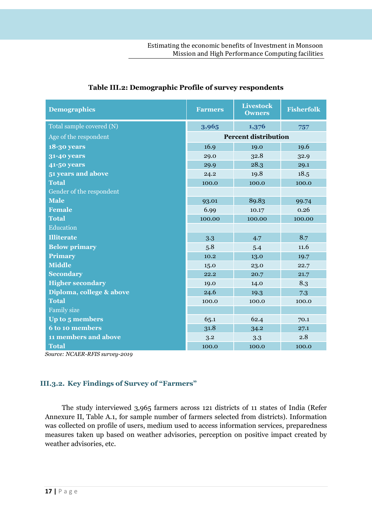| <b>Demographics</b>      | <b>Farmers</b> | <b>Livestock</b><br><b>Owners</b> | <b>Fisherfolk</b> |
|--------------------------|----------------|-----------------------------------|-------------------|
| Total sample covered (N) | 3,965          | 1,376                             | 757               |
| Age of the respondent    |                | <b>Percent distribution</b>       |                   |
| 18-30 years              | 16.9           | 19.0                              | 19.6              |
| <b>31-40 years</b>       | 29.0           | 32.8                              | 32.9              |
| <b>41-50 years</b>       | 29.9           | 28.3                              | 29.1              |
| 51 years and above       | 24.2           | 19.8                              | 18.5              |
| <b>Total</b>             | 100.0          | 100.0                             | 100.0             |
| Gender of the respondent |                |                                   |                   |
| <b>Male</b>              | 93.01          | 89.83                             | 99.74             |
| <b>Female</b>            | 6.99           | 10.17                             | 0.26              |
| <b>Total</b>             | 100.00         | 100.00                            | 100.00            |
| Education                |                |                                   |                   |
| <b>Illiterate</b>        | 3.3            | 4.7                               | 8.7               |
| <b>Below primary</b>     | 5.8            | 5.4                               | 11.6              |
| <b>Primary</b>           | 10.2           | 13.0                              | 19.7              |
| <b>Middle</b>            | 15.0           | 23.0                              | 22.7              |
| <b>Secondary</b>         | 22.2           | 20.7                              | 21.7              |
| <b>Higher secondary</b>  | 19.0           | 14.0                              | 8.3               |
| Diploma, college & above | 24.6           | 19.3                              | 7.3               |
| <b>Total</b>             | 100.0          | 100.0                             | 100.0             |
| <b>Family</b> size       |                |                                   |                   |
| Up to 5 members          | 65.1           | 62.4                              | 70.1              |
| <b>6 to 10 members</b>   | 31.8           | 34.2                              | 27.1              |
| 11 members and above     | 3.2            | 3.3                               | 2.8               |
| <b>Total</b>             | 100.0          | 100.0                             | 100.0             |

# **Table III.2: Demographic Profile of survey respondents**

*Source: NCAER-RFIS survey-2019* 

# **III.3.2. Key Findings of Survey of "Farmers"**

The study interviewed 3,965 farmers across 121 districts of 11 states of India (Refer Annexure II, Table A.1, for sample number of farmers selected from districts). Information was collected on profile of users, medium used to access information services, preparedness measures taken up based on weather advisories, perception on positive impact created by weather advisories, etc.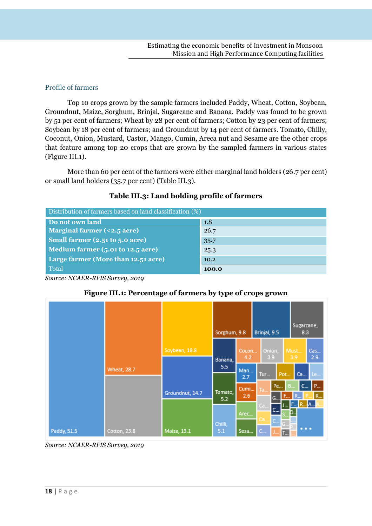### Profile of farmers

Top 10 crops grown by the sample farmers included Paddy, Wheat, Cotton, Soybean, Groundnut, Maize, Sorghum, Brinjal, Sugarcane and Banana. Paddy was found to be grown by 51 per cent of farmers; Wheat by 28 per cent of farmers; Cotton by 23 per cent of farmers; Soybean by 18 per cent of farmers; and Groundnut by 14 per cent of farmers. Tomato, Chilly, Coconut, Onion, Mustard, Castor, Mango, Cumin, Areca nut and Sesame are the other crops that feature among top 20 crops that are grown by the sampled farmers in various states (Figure III.1).

More than 60 per cent of the farmers were either marginal land holders (26.7 per cent) or small land holders (35.7 per cent) (Table III.3).

### **Table III.3: Land holding profile of farmers**

| Distribution of farmers based on land classification (%) |       |  |  |  |
|----------------------------------------------------------|-------|--|--|--|
| Do not own land                                          | 1.8   |  |  |  |
| Marginal farmer $(2.5$ acre)                             | 26.7  |  |  |  |
| Small farmer (2.51 to 5.0 acre)                          | 35.7  |  |  |  |
| Medium farmer (5.01 to 12.5 acre)                        | 25.3  |  |  |  |
| Large farmer (More than 12.51 acre)                      | 10.2  |  |  |  |
| Total                                                    | 100.0 |  |  |  |

*Source: NCAER-RFIS Survey, 2019* 



### **Figure III.1: Percentage of farmers by type of crops grown**

*Source: NCAER-RFIS Survey, 2019*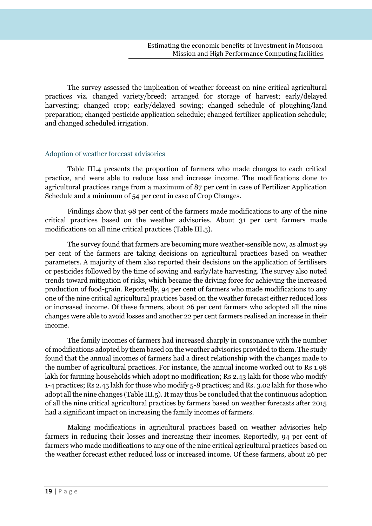The survey assessed the implication of weather forecast on nine critical agricultural practices viz. changed variety/breed; arranged for storage of harvest; early/delayed harvesting; changed crop; early/delayed sowing; changed schedule of ploughing/land preparation; changed pesticide application schedule; changed fertilizer application schedule; and changed scheduled irrigation.

### Adoption of weather forecast advisories

Table III.4 presents the proportion of farmers who made changes to each critical practice, and were able to reduce loss and increase income. The modifications done to agricultural practices range from a maximum of 87 per cent in case of Fertilizer Application Schedule and a minimum of 54 per cent in case of Crop Changes.

Findings show that 98 per cent of the farmers made modifications to any of the nine critical practices based on the weather advisories. About 31 per cent farmers made modifications on all nine critical practices (Table III.5).

The survey found that farmers are becoming more weather-sensible now, as almost 99 per cent of the farmers are taking decisions on agricultural practices based on weather parameters. A majority of them also reported their decisions on the application of fertilisers or pesticides followed by the time of sowing and early/late harvesting. The survey also noted trends toward mitigation of risks, which became the driving force for achieving the increased production of food-grain. Reportedly, 94 per cent of farmers who made modifications to any one of the nine critical agricultural practices based on the weather forecast either reduced loss or increased income. Of these farmers, about 26 per cent farmers who adopted all the nine changes were able to avoid losses and another 22 per cent farmers realised an increase in their income.

The family incomes of farmers had increased sharply in consonance with the number of modifications adopted by them based on the weather advisories provided to them. The study found that the annual incomes of farmers had a direct relationship with the changes made to the number of agricultural practices. For instance, the annual income worked out to Rs 1.98 lakh for farming households which adopt no modification; Rs 2.43 lakh for those who modify 1-4 practices; Rs 2.45 lakh for those who modify 5-8 practices; and Rs. 3.02 lakh for those who adopt all the nine changes (Table III.5). It may thus be concluded that the continuous adoption of all the nine critical agricultural practices by farmers based on weather forecasts after 2015 had a significant impact on increasing the family incomes of farmers.

Making modifications in agricultural practices based on weather advisories help farmers in reducing their losses and increasing their incomes. Reportedly, 94 per cent of farmers who made modifications to any one of the nine critical agricultural practices based on the weather forecast either reduced loss or increased income. Of these farmers, about 26 per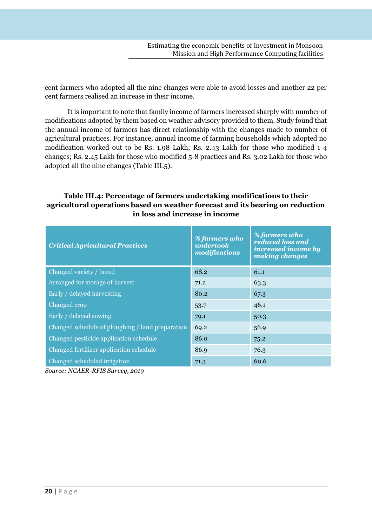cent farmers who adopted all the nine changes were able to avoid losses and another 22 per cent farmers realised an increase in their income.

It is important to note that family income of farmers increased sharply with number of modifications adopted by them based on weather advisory provided to them. Study found that the annual income of farmers has direct relationship with the changes made to number of agricultural practices. For instance, annual income of farming households which adopted no modification worked out to be Rs. 1.98 Lakh; Rs. 2.43 Lakh for those who modified 1-4 changes; Rs. 2.45 Lakh for those who modified 5-8 practices and Rs. 3.02 Lakh for those who adopted all the nine changes (Table III.5).

# **Table III.4: Percentage of farmers undertaking modifications to their agricultural operations based on weather forecast and its bearing on reduction in loss and increase in income**

| <b>Critical Agricultural Practices</b>           | % farmers who<br>undertook<br>modifications | % farmers who<br>reduced loss and<br>increased income by<br>making changes |
|--------------------------------------------------|---------------------------------------------|----------------------------------------------------------------------------|
| Changed variety / breed                          | 68.2                                        | 61.1                                                                       |
| Arranged for storage of harvest                  | 71.2                                        | 63.3                                                                       |
| Early / delayed harvesting                       | 80.2                                        | 67.3                                                                       |
| Changed crop                                     | 53.7                                        | 46.1                                                                       |
| Early / delayed sowing                           | 79.1                                        | 50.3                                                                       |
| Changed schedule of ploughing / land preparation | 69.2                                        | 56.9                                                                       |
| Changed pesticide application schedule           | 86.0                                        | 75.2                                                                       |
| Changed fertilizer application schedule          | 86.9                                        | 76.3                                                                       |
| Changed scheduled irrigation                     | 71.3                                        | 60.6                                                                       |

*Source: NCAER-RFIS Survey, 2019*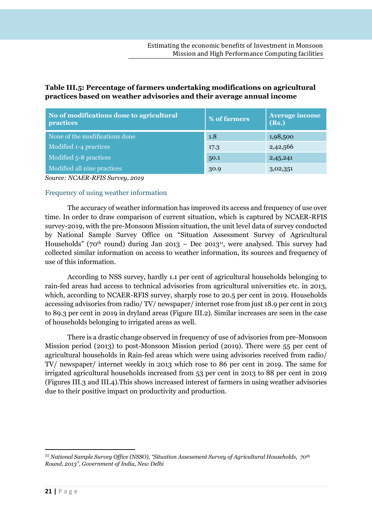# **Table III.5: Percentage of farmers undertaking modifications on agricultural practices based on weather advisories and their average annual income**

| No of modifications done to agricultural<br><b>practices</b> | % of farmers | <b>Average income</b><br>(Rs.) |
|--------------------------------------------------------------|--------------|--------------------------------|
| None of the modifications done                               | 1.8          | 1,98,500                       |
| Modified 1-4 practices                                       | 17.3         | 2,42,566                       |
| Modified 5-8 practices                                       | 50.1         | 2,45,241                       |
| Modified all nine practices                                  | 30.9         | 3,02,351                       |

*Source: NCAER-RFIS Survey, 2019* 

### Frequency of using weather information

The accuracy of weather information has improved its access and frequency of use over time. In order to draw comparison of current situation, which is captured by NCAER-RFIS survey-2019, with the pre-Monsoon Mission situation, the unit level data of survey conducted by National Sample Survey Office on "Situation Assessment Survey of Agricultural Households" (70<sup>th</sup> round) during Jan 2013 – Dec 2013<sup>11</sup>, were analysed. This survey had collected similar information on access to weather information, its sources and frequency of use of this information.

According to NSS survey, hardly 1.1 per cent of agricultural households belonging to rain-fed areas had access to technical advisories from agricultural universities etc. in 2013, which, according to NCAER-RFIS survey, sharply rose to 20.5 per cent in 2019. Households accessing advisories from radio/ TV/ newspaper/ internet rose from just 18.9 per cent in 2013 to 89.3 per cent in 2019 in dryland areas (Figure III.2). Similar increases are seen in the case of households belonging to irrigated areas as well.

There is a drastic change observed in frequency of use of advisories from pre-Monsoon Mission period (2013) to post-Monsoon Mission period (2019). There were 55 per cent of agricultural households in Rain-fed areas which were using advisories received from radio/ TV/ newspaper/ internet weekly in 2013 which rose to 86 per cent in 2019. The same for irrigated agricultural households increased from 53 per cent in 2013 to 88 per cent in 2019 (Figures III.3 and III.4).This shows increased interest of farmers in using weather advisories due to their positive impact on productivity and production.

 $\overline{a}$ 

<sup>11</sup> *National Sample Survey Office (NSSO), "Situation Assessment Survey of Agricultural Households, 70th Round, 2013", Government of India, New Delhi*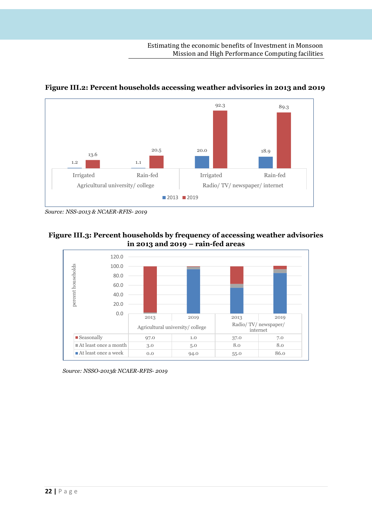

**Figure III.2: Percent households accessing weather advisories in 2013 and 2019** 

*Source: NSS-2013 & NCAER-RFIS- 2019*





*Source: NSSO-2013& NCAER-RFIS- 2019*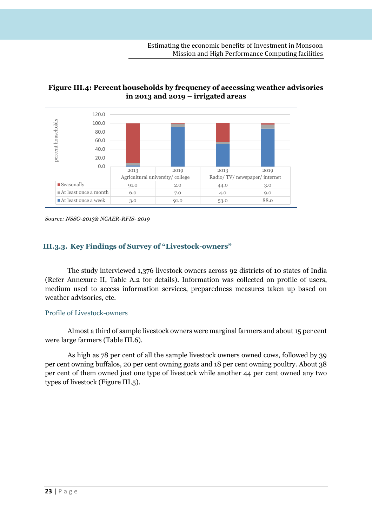# **Figure III.4: Percent households by frequency of accessing weather advisories in 2013 and 2019 – irrigated areas**



*Source: NSSO-2013& NCAER-RFIS- 2019* 

# **III.3.3. Key Findings of Survey of "Livestock-owners"**

The study interviewed 1,376 livestock owners across 92 districts of 10 states of India (Refer Annexure II, Table A.2 for details). Information was collected on profile of users, medium used to access information services, preparedness measures taken up based on weather advisories, etc.

### Profile of Livestock-owners

Almost a third of sample livestock owners were marginal farmers and about 15 per cent were large farmers (Table III.6).

As high as 78 per cent of all the sample livestock owners owned cows, followed by 39 per cent owning buffalos, 20 per cent owning goats and 18 per cent owning poultry. About 38 per cent of them owned just one type of livestock while another 44 per cent owned any two types of livestock (Figure III.5).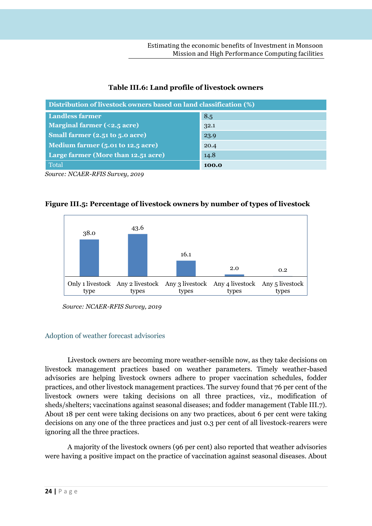# **Table III.6: Land profile of livestock owners**

| Distribution of livestock owners based on land classification (%) |       |  |  |  |
|-------------------------------------------------------------------|-------|--|--|--|
| <b>Landless farmer</b>                                            | 8.5   |  |  |  |
| Marginal farmer $(2.5$ acre)                                      | 32.1  |  |  |  |
| Small farmer (2.51 to 5.0 acre)                                   | 23.9  |  |  |  |
| Medium farmer (5.01 to 12.5 acre)                                 | 20.4  |  |  |  |
| Large farmer (More than 12.51 acre)                               | 14.8  |  |  |  |
| Total                                                             | 100.0 |  |  |  |

*Source: NCAER-RFIS Survey, 2019* 

# **Figure III.5: Percentage of livestock owners by number of types of livestock**



*Source: NCAER-RFIS Survey, 2019* 

# Adoption of weather forecast advisories

Livestock owners are becoming more weather-sensible now, as they take decisions on livestock management practices based on weather parameters. Timely weather-based advisories are helping livestock owners adhere to proper vaccination schedules, fodder practices, and other livestock management practices. The survey found that 76 per cent of the livestock owners were taking decisions on all three practices, viz., modification of sheds/shelters; vaccinations against seasonal diseases; and fodder management (Table III.7). About 18 per cent were taking decisions on any two practices, about 6 per cent were taking decisions on any one of the three practices and just 0.3 per cent of all livestock-rearers were ignoring all the three practices.

A majority of the livestock owners (96 per cent) also reported that weather advisories were having a positive impact on the practice of vaccination against seasonal diseases. About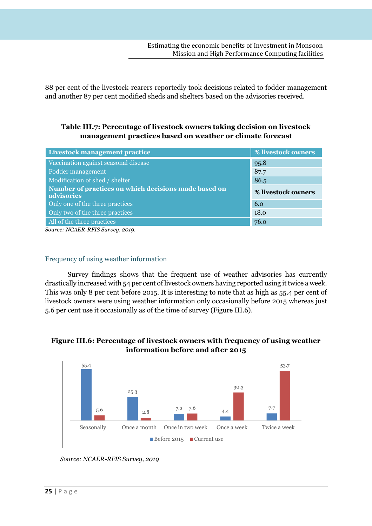88 per cent of the livestock-rearers reportedly took decisions related to fodder management and another 87 per cent modified sheds and shelters based on the advisories received.

### **Table III.7: Percentage of livestock owners taking decision on livestock management practices based on weather or climate forecast**

| Livestock management practice                                      | % livestock owners |
|--------------------------------------------------------------------|--------------------|
| Vaccination against seasonal disease                               | 95.8               |
| Fodder management                                                  | 87.7               |
| Modification of shed / shelter                                     | 86.5               |
|                                                                    |                    |
| Number of practices on which decisions made based on<br>advisories | % livestock owners |
| Only one of the three practices                                    | 6.0                |
| Only two of the three practices                                    | 18.0               |
|                                                                    |                    |

*Source: NCAER-RFIS Survey, 2019.* 

### Frequency of using weather information

Survey findings shows that the frequent use of weather advisories has currently drastically increased with 54 per cent of livestock owners having reported using it twice a week. This was only 8 per cent before 2015. It is interesting to note that as high as 55.4 per cent of livestock owners were using weather information only occasionally before 2015 whereas just 5.6 per cent use it occasionally as of the time of survey (Figure III.6).

# **Figure III.6: Percentage of livestock owners with frequency of using weather information before and after 2015**



*Source: NCAER-RFIS Survey, 2019*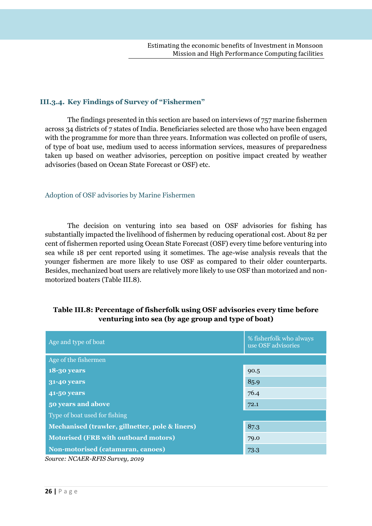### **III.3.4. Key Findings of Survey of "Fishermen"**

The findings presented in this section are based on interviews of 757 marine fishermen across 34 districts of 7 states of India. Beneficiaries selected are those who have been engaged with the programme for more than three years. Information was collected on profile of users, of type of boat use, medium used to access information services, measures of preparedness taken up based on weather advisories, perception on positive impact created by weather advisories (based on Ocean State Forecast or OSF) etc.

### Adoption of OSF advisories by Marine Fishermen

The decision on venturing into sea based on OSF advisories for fishing has substantially impacted the livelihood of fishermen by reducing operational cost. About 82 per cent of fishermen reported using Ocean State Forecast (OSF) every time before venturing into sea while 18 per cent reported using it sometimes. The age-wise analysis reveals that the younger fishermen are more likely to use OSF as compared to their older counterparts. Besides, mechanized boat users are relatively more likely to use OSF than motorized and nonmotorized boaters (Table III.8).

| Age and type of boat                                                                                       | % fisherfolk who always<br>use OSF advisories |
|------------------------------------------------------------------------------------------------------------|-----------------------------------------------|
| Age of the fishermen                                                                                       |                                               |
| <b>18-30 years</b>                                                                                         | 90.5                                          |
| 31-40 years                                                                                                | 85.9                                          |
| 41-50 years                                                                                                | 76.4                                          |
| 50 years and above                                                                                         | 72.1                                          |
| Type of boat used for fishing                                                                              |                                               |
| Mechanised (trawler, gillnetter, pole & liners)                                                            | 87.3                                          |
| <b>Motorised (FRB with outboard motors)</b>                                                                | 79.0                                          |
| Non-motorised (catamaran, canoes)                                                                          | 73.3                                          |
| $\mathcal{C}_{\Omega I}$ req. $\mathcal{N} \cap \Lambda$ FD, D FIC $\mathcal{C}_{I}$ runsels, and $\Omega$ |                                               |

### **Table III.8: Percentage of fisherfolk using OSF advisories every time before venturing into sea (by age group and type of boat)**

*Source: NCAER-RFIS Survey, 2019*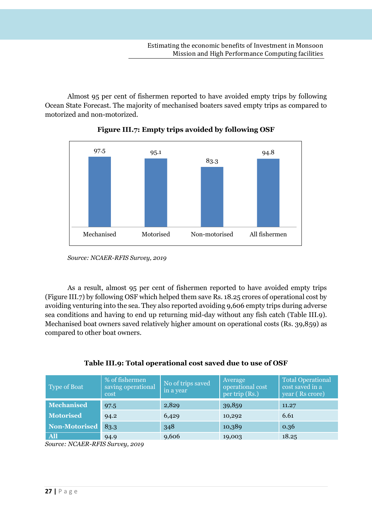Almost 95 per cent of fishermen reported to have avoided empty trips by following Ocean State Forecast. The majority of mechanised boaters saved empty trips as compared to motorized and non-motorized.



**Figure III.7: Empty trips avoided by following OSF**

 *Source: NCAER-RFIS Survey, 2019*

As a result, almost 95 per cent of fishermen reported to have avoided empty trips (Figure III.7) by following OSF which helped them save Rs. 18.25 crores of operational cost by avoiding venturing into the sea. They also reported avoiding 9,606 empty trips during adverse sea conditions and having to end up returning mid-day without any fish catch (Table III.9). Mechanised boat owners saved relatively higher amount on operational costs (Rs. 39,859) as compared to other boat owners.

| Type of Boat                                             | % of fishermen<br>saving operational<br>cost | No of trips saved<br>in a year | Average<br>operational cost<br>per trip (Rs.) | <b>Total Operational</b><br>cost saved in a<br>year (Rs crore) |
|----------------------------------------------------------|----------------------------------------------|--------------------------------|-----------------------------------------------|----------------------------------------------------------------|
| <b>Mechanised</b>                                        | 97.5                                         | 2,829                          | 39,859                                        | 11.27                                                          |
| <b>Motorised</b>                                         | 94.2                                         | 6,429                          | 10,292                                        | 6.61                                                           |
| <b>Non-Motorised</b>                                     | 83.3                                         | 348                            | 10,389                                        | 0.36                                                           |
| <b>All</b><br>$\sim$<br>$\mathbf{172}$ in $\mathbf{177}$ | 94.9                                         | 9,606                          | 19,003                                        | 18.25                                                          |

*Source: NCAER-RFIS Survey, 2019*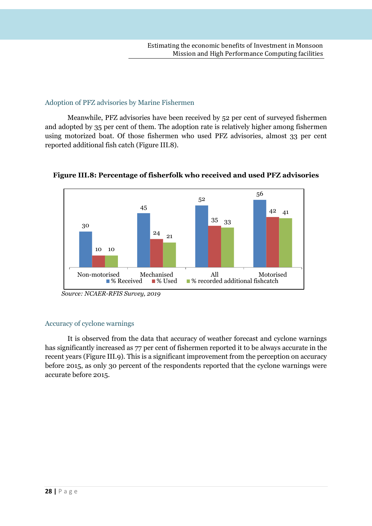### Adoption of PFZ advisories by Marine Fishermen

Meanwhile, PFZ advisories have been received by 52 per cent of surveyed fishermen and adopted by 35 per cent of them. The adoption rate is relatively higher among fishermen using motorized boat. Of those fishermen who used PFZ advisories, almost 33 per cent reported additional fish catch (Figure III.8).



**Figure III.8: Percentage of fisherfolk who received and used PFZ advisories** 

# Accuracy of cyclone warnings

It is observed from the data that accuracy of weather forecast and cyclone warnings has significantly increased as 77 per cent of fishermen reported it to be always accurate in the recent years (Figure III.9). This is a significant improvement from the perception on accuracy before 2015, as only 30 percent of the respondents reported that the cyclone warnings were accurate before 2015.

*Source: NCAER-RFIS Survey, 2019*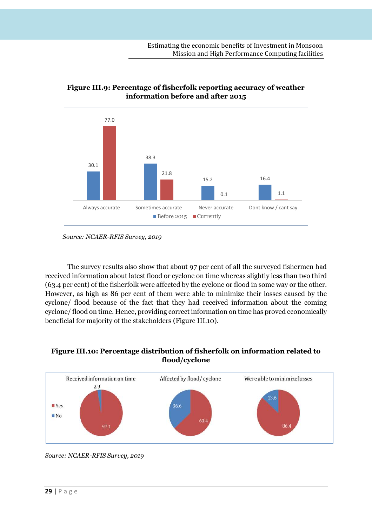# **Figure III.9: Percentage of fisherfolk reporting accuracy of weather information before and after 2015**



*Source: NCAER-RFIS Survey, 2019* 

The survey results also show that about 97 per cent of all the surveyed fishermen had received information about latest flood or cyclone on time whereas slightly less than two third (63.4 per cent) of the fisherfolk were affected by the cyclone or flood in some way or the other. However, as high as 86 per cent of them were able to minimize their losses caused by the cyclone/ flood because of the fact that they had received information about the coming cyclone/ flood on time. Hence, providing correct information on time has proved economically beneficial for majority of the stakeholders (Figure III.10).

# **Figure III.10: Percentage distribution of fisherfolk on information related to flood/cyclone**



*Source: NCAER-RFIS Survey, 2019*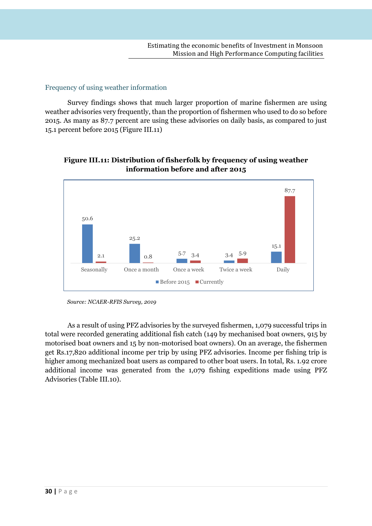# Frequency of using weather information

Survey findings shows that much larger proportion of marine fishermen are using weather advisories very frequently, than the proportion of fishermen who used to do so before 2015. As many as 87.7 percent are using these advisories on daily basis, as compared to just 15.1 percent before 2015 (Figure III.11)



# **Figure III.11: Distribution of fisherfolk by frequency of using weather information before and after 2015**

As a result of using PFZ advisories by the surveyed fishermen, 1,079 successful trips in total were recorded generating additional fish catch (149 by mechanised boat owners, 915 by motorised boat owners and 15 by non-motorised boat owners). On an average, the fishermen get Rs.17,820 additional income per trip by using PFZ advisories. Income per fishing trip is higher among mechanized boat users as compared to other boat users. In total, Rs. 1.92 crore additional income was generated from the 1,079 fishing expeditions made using PFZ Advisories (Table III.10).

*Source: NCAER-RFIS Survey, 2019*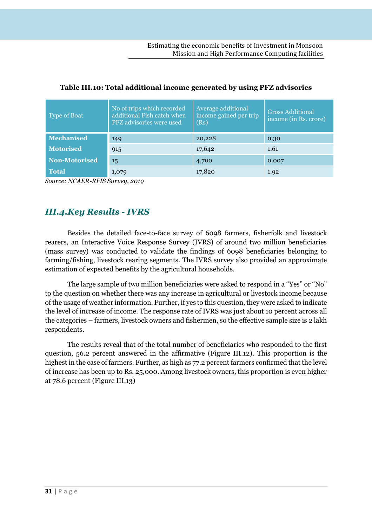| <b>Type of Boat</b>  | No of trips which recorded<br>additional Fish catch when<br>PFZ advisories were used | Average additional<br>income gained per trip<br>(Rs) | <b>Gross Additional</b><br>income (in Rs. crore) |
|----------------------|--------------------------------------------------------------------------------------|------------------------------------------------------|--------------------------------------------------|
| <b>Mechanised</b>    | 149                                                                                  | 20,228                                               | 0.30                                             |
| <b>Motorised</b>     | 915                                                                                  | 17,642                                               | 1.61                                             |
| <b>Non-Motorised</b> | 15                                                                                   | 4,700                                                | 0.007                                            |
| <b>Total</b>         | 1,079                                                                                | 17,820                                               | 1.92                                             |

### **Table III.10: Total additional income generated by using PFZ advisories**

*Source: NCAER-RFIS Survey, 2019* 

# *III.4.Key Results - IVRS*

Besides the detailed face-to-face survey of 6098 farmers, fisherfolk and livestock rearers, an Interactive Voice Response Survey (IVRS) of around two million beneficiaries (mass survey) was conducted to validate the findings of 6098 beneficiaries belonging to farming/fishing, livestock rearing segments. The IVRS survey also provided an approximate estimation of expected benefits by the agricultural households.

The large sample of two million beneficiaries were asked to respond in a "Yes" or "No" to the question on whether there was any increase in agricultural or livestock income because of the usage of weather information. Further, if yes to this question, they were asked to indicate the level of increase of income. The response rate of IVRS was just about 10 percent across all the categories – farmers, livestock owners and fishermen, so the effective sample size is 2 lakh respondents.

The results reveal that of the total number of beneficiaries who responded to the first question, 56.2 percent answered in the affirmative (Figure III.12). This proportion is the highest in the case of farmers. Further, as high as 77.2 percent farmers confirmed that the level of increase has been up to Rs. 25,000. Among livestock owners, this proportion is even higher at 78.6 percent (Figure III.13)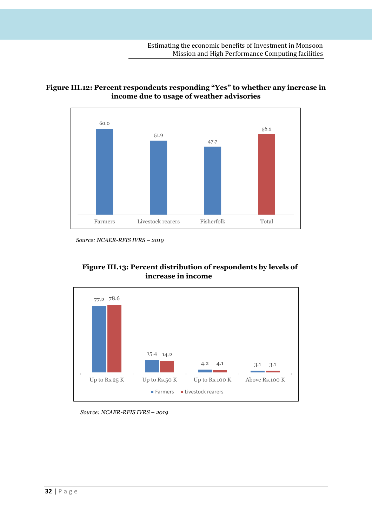# **Figure III.12: Percent respondents responding "Yes" to whether any increase in income due to usage of weather advisories**



*Source: NCAER-RFIS IVRS – 2019* 

# **Figure III.13: Percent distribution of respondents by levels of increase in income**



*Source: NCAER-RFIS IVRS – 2019*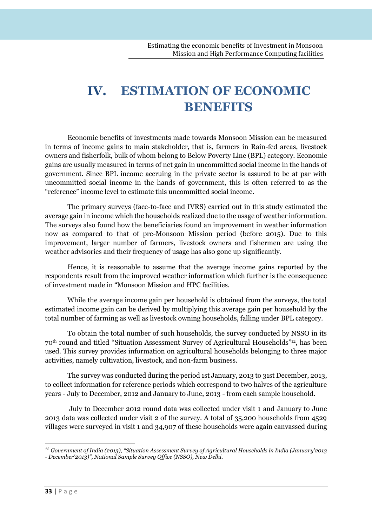# **IV. ESTIMATION OF ECONOMIC BENEFITS**

Economic benefits of investments made towards Monsoon Mission can be measured in terms of income gains to main stakeholder, that is, farmers in Rain-fed areas, livestock owners and fisherfolk, bulk of whom belong to Below Poverty Line (BPL) category. Economic gains are usually measured in terms of net gain in uncommitted social income in the hands of government. Since BPL income accruing in the private sector is assured to be at par with uncommitted social income in the hands of government, this is often referred to as the "reference" income level to estimate this uncommitted social income.

The primary surveys (face-to-face and IVRS) carried out in this study estimated the average gain in income which the households realized due to the usage of weather information. The surveys also found how the beneficiaries found an improvement in weather information now as compared to that of pre-Monsoon Mission period (before 2015). Due to this improvement, larger number of farmers, livestock owners and fishermen are using the weather advisories and their frequency of usage has also gone up significantly.

Hence, it is reasonable to assume that the average income gains reported by the respondents result from the improved weather information which further is the consequence of investment made in "Monsoon Mission and HPC facilities.

While the average income gain per household is obtained from the surveys, the total estimated income gain can be derived by multiplying this average gain per household by the total number of farming as well as livestock owning households, falling under BPL category.

To obtain the total number of such households, the survey conducted by NSSO in its 70th round and titled "Situation Assessment Survey of Agricultural Households" <sup>12</sup>, has been used. This survey provides information on agricultural households belonging to three major activities, namely cultivation, livestock, and non-farm business.

The survey was conducted during the period 1st January, 2013 to 31st December, 2013, to collect information for reference periods which correspond to two halves of the agriculture years - July to December, 2012 and January to June, 2013 - from each sample household.

 July to December 2012 round data was collected under visit 1 and January to June 2013 data was collected under visit 2 of the survey. A total of 35,200 households from 4529 villages were surveyed in visit 1 and 34,907 of these households were again canvassed during

 $\overline{a}$ *<sup>12</sup> Government of India (2013), "Situation Assessment Survey of Agricultural Households in India (January'2013 - December'2013)", National Sample Survey Office (NSSO), New Delhi.*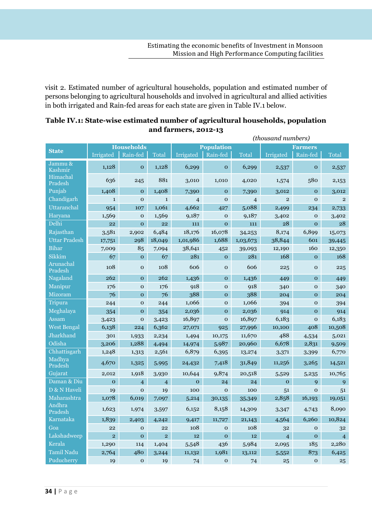visit 2. Estimated number of agricultural households, population and estimated number of persons belonging to agricultural households and involved in agricultural and allied activities in both irrigated and Rain-fed areas for each state are given in Table IV.1 below.

|                      | (thousand numbers) |                   |                |                |                   |                |                |                |                |  |
|----------------------|--------------------|-------------------|----------------|----------------|-------------------|----------------|----------------|----------------|----------------|--|
| <b>State</b>         |                    | <b>Households</b> |                |                | <b>Population</b> |                |                | <b>Farmers</b> |                |  |
|                      | Irrigated          | Rain-fed          | <b>Total</b>   | Irrigated      | Rain-fed          | <b>Total</b>   | Irrigated      | Rain-fed       | <b>Total</b>   |  |
| Jammu &<br>Kashmir   | 1,128              | $\mathbf 0$       | 1,128          | 6,299          | $\mathbf 0$       | 6,299          | 2,537          | $\mathbf{O}$   | 2,537          |  |
| Himachal<br>Pradesh  | 636                | 245               | 881            | 3,010          | 1,010             | 4,020          | 1,574          | 580            | 2,153          |  |
| Punjab               | 1,408              | $\mathbf{o}$      | 1,408          | 7,390          | $\Omega$          | 7,390          | 3,012          | $\Omega$       | 3,012          |  |
| Chandigarh           | $\mathbf{1}$       | $\Omega$          | $\mathbf{1}$   | $\overline{4}$ | $\Omega$          | $\overline{4}$ | $\overline{2}$ | $\mathbf{O}$   | $\overline{2}$ |  |
| Uttaranchal          | 954                | 107               | 1,061          | 4,662          | 427               | 5,088          | 2,499          | 234            | 2,733          |  |
| Haryana              | 1,569              | $\mathbf{O}$      | 1,569          | 9,187          | $\mathbf 0$       | 9,187          | 3,402          | $\mathbf{O}$   | 3,402          |  |
| Delhi                | 22                 | $\mathbf{o}$      | 22             | 111            | $\mathbf{o}$      | 111            | 28             | $\mathbf{o}$   | 28             |  |
| Rajasthan            | 3,581              | 2,902             | 6,484          | 18,176         | 16,078            | 34,253         | 8,174          | 6,899          | 15,073         |  |
| <b>Uttar Pradesh</b> | 17,751             | 298               | 18,049         | 1,01,986       | 1,688             | 1,03,673       | 38,844         | 601            | 39,445         |  |
| <b>Bihar</b>         | 7,009              | 85                | 7,094          | 38,641         | 452               | 39,093         | 12,190         | 160            | 12,350         |  |
| <b>Sikkim</b>        | 67                 | $\mathbf{O}$      | 67             | 281            | $\Omega$          | 281            | 168            | $\Omega$       | 168            |  |
| Arunachal<br>Pradesh | 108                | $\mathbf{O}$      | 108            | 606            | $\mathbf 0$       | 606            | 225            | $\mathbf{O}$   | 225            |  |
| Nagaland             | 262                | $\mathbf{o}$      | 262            | 1,436          | $\mathbf{O}$      | 1,436          | 449            | $\mathbf{o}$   | 449            |  |
| Manipur              | 176                | $\Omega$          | 176            | 918            | $\Omega$          | 918            | 340            | $\Omega$       | 340            |  |
| Mizoram              | 76                 | $\mathbf{O}$      | 76             | 388            | $\Omega$          | 388            | 204            | $\Omega$       | 204            |  |
| Tripura              | 244                | $\Omega$          | 244            | 1,066          | $\mathbf 0$       | 1,066          | 394            | $\mathbf{O}$   | 394            |  |
| Meghalaya            | 354                | $\mathbf{o}$      | 354            | 2,036          | $\mathbf{o}$      | 2,036          | 914            | $\mathbf{o}$   | 914            |  |
| Assam                | 3,423              | $\Omega$          | 3,423          | 16,897         | $\Omega$          | 16,897         | 6,183          | $\mathbf{O}$   | 6,183          |  |
| <b>West Bengal</b>   | 6,138              | 224               | 6,362          | 27,071         | 925               | 27,996         | 10,100         | 408            | 10,508         |  |
| Jharkhand            | 301                | 1,933             | 2,234          | 1,494          | 10,175            | 11,670         | 488            | 4,534          | 5,021          |  |
| Odisha               | 3,206              | 1,288             | 4,494          | 14,974         | 5,987             | 20,960         | 6,678          | 2,831          | 9,509          |  |
| Chhattisgarh         | 1,248              | 1,313             | 2,561          | 6,879          | 6,395             | 13,274         | 3,371          | 3,399          | 6,770          |  |
| Madhya<br>Pradesh    | 4,670              | 1,325             | 5,995          | 24,432         | 7,418             | 31,849         | 11,256         | 3,265          | 14,521         |  |
| Gujarat              | 2,012              | 1,918             | 3,930          | 10,644         | 9,874             | 20,518         | 5,529          | 5,235          | 10,765         |  |
| Daman & Diu          | $\mathbf{o}$       | $\overline{4}$    | $\overline{4}$ | $\overline{O}$ | 24                | 24             | $\mathbf{O}$   | $\mathbf{Q}$   | $\mathbf{Q}$   |  |
| D & N Haveli         | 19                 | $\mathbf{o}$      | 19             | 100            | $\mathbf{o}$      | 100            | 51             | $\mathbf{O}$   | 51             |  |
| Maharashtra          | 1,078              | 6,019             | 7,097          | 5,214          | 30,135            | 35,349         | 2,858          | 16,193         | 19,051         |  |
| Andhra<br>Pradesh    | 1,623              | 1,974             | 3,597          | 6,152          | 8,158             | 14,309         | 3,347          | 4,743          | 8,090          |  |
| Karnataka            | 1,839              | 2,403             | 4,242          | 9,417          | 11,727            | 21,143         | 4,564          | 6,260          | 10,824         |  |
| Goa                  | 22                 | $\mathbf{O}$      | 22             | 108            | $\mathbf 0$       | 108            | 32             | $\mathbf{O}$   | 32             |  |
| Lakshadweep          | $\overline{2}$     | $\overline{O}$    | $\overline{2}$ | 12             | $\Omega$          | 12             | $\overline{4}$ | $\mathbf{O}$   | $\overline{4}$ |  |
| Kerala               | 1,290              | 114               | 1,404          | 5,548          | 436               | 5,984          | 2,095          | 185            | 2,280          |  |
| <b>Tamil Nadu</b>    | 2,764              | 480               | 3,244          | 11,132         | 1,981             | 13,112         | 5,552          | 873            | 6,425          |  |
| Puducherry           | 19                 | $\Omega$          | 19             | 74             | $\mathbf{o}$      | 74             | 25             | $\mathbf{O}$   | 25             |  |

# **Table IV.1: State-wise estimated number of agricultural households, population and farmers, 2012-13**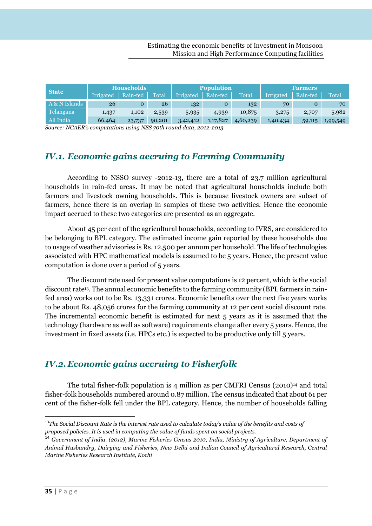| <b>State</b>  | <b>Households</b> |          | <b>Population</b> |           |              | <b>Farmers</b> |           |          |          |
|---------------|-------------------|----------|-------------------|-----------|--------------|----------------|-----------|----------|----------|
|               | Irrigated         | Rain-fed | Total             | Irrigated | Rain-fed     | Total          | Irrigated | Rain-fed | Total    |
| A & N Islands | 26                | 0        | 26                | 132       | $\mathbf{O}$ | 132            | 70        |          | 70       |
| Telangana     | 1,437             | 1,102    | 2,539             | 5,935     | 4,939        | 10,875         | 3,275     | 2,707    | 5,982    |
| All India     | 66,464            | 23,737   | 90,201            | 3,42,412  | 1,17,827     | 4,60,239       | 1,40,434  | 59,115   | 1,99,549 |

*Source: NCAER's computations using NSS 70th round data, 2012-2013* 

# *IV.1. Economic gains accruing to Farming Community*

According to NSSO survey -2012-13, there are a total of 23.7 million agricultural households in rain-fed areas. It may be noted that agricultural households include both farmers and livestock owning households. This is because livestock owners are subset of farmers, hence there is an overlap in samples of these two activities. Hence the economic impact accrued to these two categories are presented as an aggregate.

About 45 per cent of the agricultural households, according to IVRS, are considered to be belonging to BPL category. The estimated income gain reported by these households due to usage of weather advisories is Rs. 12,500 per annum per household. The life of technologies associated with HPC mathematical models is assumed to be 5 years. Hence, the present value computation is done over a period of 5 years.

The discount rate used for present value computations is 12 percent, which is the social discount rate<sup>13</sup>. The annual economic benefits to the farming community (BPL farmers in rainfed area) works out to be Rs. 13,331 crores. Economic benefits over the next five years works to be about Rs. 48,056 crores for the farming community at 12 per cent social discount rate. The incremental economic benefit is estimated for next 5 years as it is assumed that the technology (hardware as well as software) requirements change after every 5 years. Hence, the investment in fixed assets (i.e. HPCs etc.) is expected to be productive only till 5 years.

# *IV.2. Economic gains accruing to Fisherfolk*

The total fisher-folk population is 4 million as per CMFRI Census  $(2010)^{14}$  and total fisher-folk households numbered around 0.87 million. The census indicated that about 61 per cent of the fisher-folk fell under the BPL category. Hence, the number of households falling

 $\overline{a}$ 

<sup>13</sup>*The Social Discount Rate is the interest rate used to calculate today's value of the benefits and costs of proposed policies. It is used in computing the value of funds spent on social projects*.

<sup>14</sup> *Government of India. (2012), Marine Fisheries Census 2010, India, Ministry of Agriculture, Department of Animal Husbandry, Dairying and Fisheries, New Delhi and Indian Council of Agricultural Research, Central Marine Fisheries Research Institute, Kochi*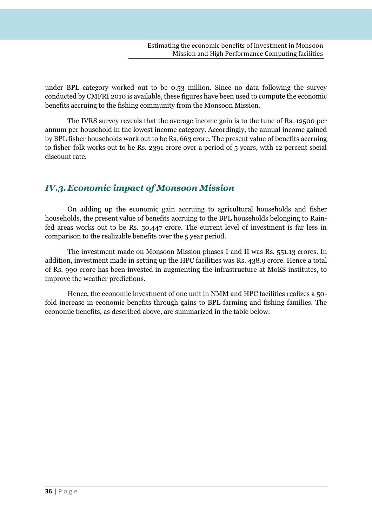under BPL category worked out to be 0.53 million. Since no data following the survey conducted by CMFRI 2010 is available, these figures have been used to compute the economic benefits accruing to the fishing community from the Monsoon Mission.

The IVRS survey reveals that the average income gain is to the tune of Rs. 12500 per annum per household in the lowest income category. Accordingly, the annual income gained by BPL fisher households work out to be Rs. 663 crore. The present value of benefits accruing to fisher-folk works out to be Rs. 2391 crore over a period of 5 years, with 12 percent social discount rate.

# *IV.3. Economic impact of Monsoon Mission*

On adding up the economic gain accruing to agricultural households and fisher households, the present value of benefits accruing to the BPL households belonging to Rainfed areas works out to be Rs. 50,447 crore. The current level of investment is far less in comparison to the realizable benefits over the 5 year period.

The investment made on Monsoon Mission phases I and II was Rs. 551.13 crores. In addition, investment made in setting up the HPC facilities was Rs. 438.9 crore. Hence a total of Rs. 990 crore has been invested in augmenting the infrastructure at MoES institutes, to improve the weather predictions.

Hence, the economic investment of one unit in NMM and HPC facilities realizes a 50 fold increase in economic benefits through gains to BPL farming and fishing families. The economic benefits, as described above, are summarized in the table below: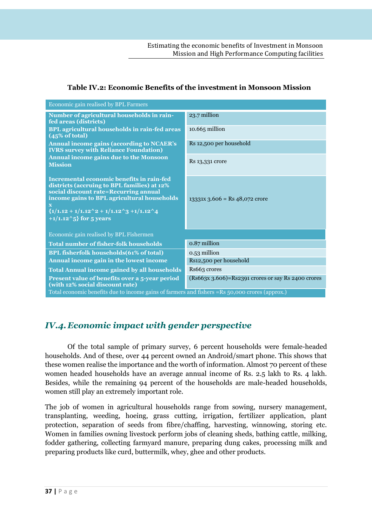### **Table IV.2: Economic Benefits of the investment in Monsoon Mission**

| Economic gain realised by BPL Farmers                                                                                                                                                                                                                                 |                                                          |  |  |
|-----------------------------------------------------------------------------------------------------------------------------------------------------------------------------------------------------------------------------------------------------------------------|----------------------------------------------------------|--|--|
| Number of agricultural households in rain-<br>fed areas (districts)                                                                                                                                                                                                   | 23.7 million                                             |  |  |
| BPL agricultural households in rain-fed areas<br>(45% of total)                                                                                                                                                                                                       | $10.665$ million                                         |  |  |
| <b>Annual income gains (according to NCAER's</b><br><b>IVRS survey with Reliance Foundation)</b>                                                                                                                                                                      | Rs 12,500 per household                                  |  |  |
| Annual income gains due to the Monsoon<br><b>Mission</b>                                                                                                                                                                                                              | Rs 13,331 crore                                          |  |  |
| Incremental economic benefits in rain-fed<br>districts (accruing to BPL families) at 12%<br>social discount rate=Recurring annual<br>income gains to BPL agricultural households<br>$\{1/1.12 + 1/1.12^2 + 1/1.12^3 + 1/1.12^4\}$<br>+ $1/1.12^{\wedge}5$ for 5 years | $13331x$ $3.606$ = Rs $48,072$ crore                     |  |  |
| Economic gain realised by BPL Fishermen                                                                                                                                                                                                                               |                                                          |  |  |
| <b>Total number of fisher-folk households</b>                                                                                                                                                                                                                         | 0.87 million                                             |  |  |
| BPL fisherfolk households (61% of total)                                                                                                                                                                                                                              | 0.53 million                                             |  |  |
| Annual income gain in the lowest income                                                                                                                                                                                                                               | Rs12,500 per household                                   |  |  |
| <b>Total Annual income gained by all households</b>                                                                                                                                                                                                                   | Rs663 crores                                             |  |  |
| Present value of benefits over a 5-year period<br>(with 12% social discount rate)                                                                                                                                                                                     | $(Rs663x 3.606)$ = $Rs2391$ crores or say Rs 2400 crores |  |  |
| Total economic benefits due to income gains of farmers and fishers =Rs 50,000 crores (approx.)                                                                                                                                                                        |                                                          |  |  |

# *IV.4.Economic impact with gender perspective*

Of the total sample of primary survey, 6 percent households were female-headed households. And of these, over 44 percent owned an Android/smart phone. This shows that these women realise the importance and the worth of information. Almost 70 percent of these women headed households have an average annual income of Rs. 2.5 lakh to Rs. 4 lakh. Besides, while the remaining 94 percent of the households are male-headed households, women still play an extremely important role.

The job of women in agricultural households range from sowing, nursery management, transplanting, weeding, hoeing, grass cutting, irrigation, fertilizer application, plant protection, separation of seeds from fibre/chaffing, harvesting, winnowing, storing etc. Women in families owning livestock perform jobs of cleaning sheds, bathing cattle, milking, fodder gathering, collecting farmyard manure, preparing dung cakes, processing milk and preparing products like curd, buttermilk, whey, ghee and other products.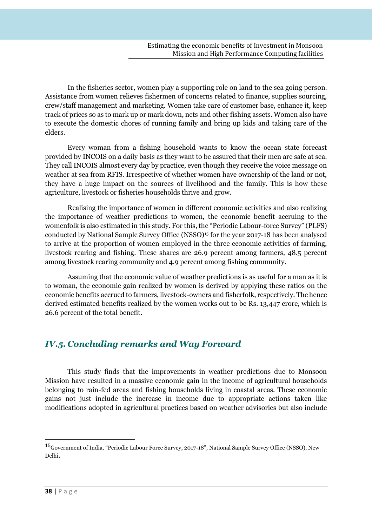In the fisheries sector, women play a supporting role on land to the sea going person. Assistance from women relieves fishermen of concerns related to finance, supplies sourcing, crew/staff management and marketing. Women take care of customer base, enhance it, keep track of prices so as to mark up or mark down, nets and other fishing assets. Women also have to execute the domestic chores of running family and bring up kids and taking care of the elders.

Every woman from a fishing household wants to know the ocean state forecast provided by INCOIS on a daily basis as they want to be assured that their men are safe at sea. They call INCOIS almost every day by practice, even though they receive the voice message on weather at sea from RFIS. Irrespective of whether women have ownership of the land or not, they have a huge impact on the sources of livelihood and the family. This is how these agriculture, livestock or fisheries households thrive and grow.

Realising the importance of women in different economic activities and also realizing the importance of weather predictions to women, the economic benefit accruing to the womenfolk is also estimated in this study. For this, the "Periodic Labour-force Survey" (PLFS) conducted by National Sample Survey Office (NSSO)<sup>15</sup> for the year  $2017-18$  has been analysed to arrive at the proportion of women employed in the three economic activities of farming, livestock rearing and fishing. These shares are 26.9 percent among farmers, 48.5 percent among livestock rearing community and 4.9 percent among fishing community.

Assuming that the economic value of weather predictions is as useful for a man as it is to woman, the economic gain realized by women is derived by applying these ratios on the economic benefits accrued to farmers, livestock-owners and fisherfolk, respectively. The hence derived estimated benefits realized by the women works out to be Rs. 13,447 crore, which is 26.6 percent of the total benefit.

# *IV.5. Concluding remarks and Way Forward*

This study finds that the improvements in weather predictions due to Monsoon Mission have resulted in a massive economic gain in the income of agricultural households belonging to rain-fed areas and fishing households living in coastal areas. These economic gains not just include the increase in income due to appropriate actions taken like modifications adopted in agricultural practices based on weather advisories but also include

 $\overline{\phantom{a}}$ 

<sup>15</sup>Government of India, "Periodic Labour Force Survey, 2017-18", National Sample Survey Office (NSSO), New Delhi.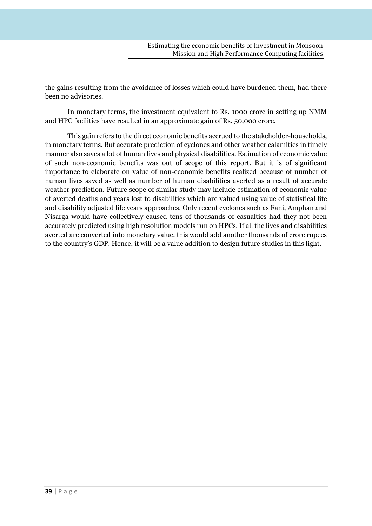the gains resulting from the avoidance of losses which could have burdened them, had there been no advisories.

In monetary terms, the investment equivalent to Rs. 1000 crore in setting up NMM and HPC facilities have resulted in an approximate gain of Rs. 50,000 crore.

This gain refers to the direct economic benefits accrued to the stakeholder-households, in monetary terms. But accurate prediction of cyclones and other weather calamities in timely manner also saves a lot of human lives and physical disabilities. Estimation of economic value of such non-economic benefits was out of scope of this report. But it is of significant importance to elaborate on value of non-economic benefits realized because of number of human lives saved as well as number of human disabilities averted as a result of accurate weather prediction. Future scope of similar study may include estimation of economic value of averted deaths and years lost to disabilities which are valued using value of statistical life and disability adjusted life years approaches. Only recent cyclones such as Fani, Amphan and Nisarga would have collectively caused tens of thousands of casualties had they not been accurately predicted using high resolution models run on HPCs. If all the lives and disabilities averted are converted into monetary value, this would add another thousands of crore rupees to the country's GDP. Hence, it will be a value addition to design future studies in this light.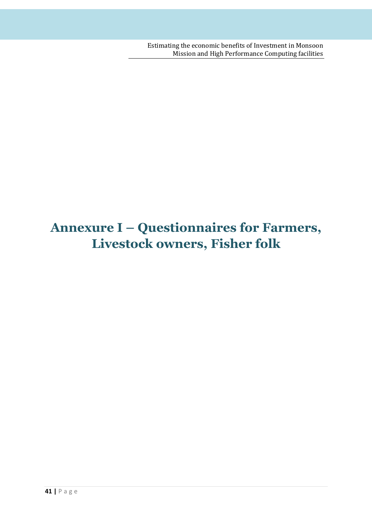# **Annexure I – Questionnaires for Farmers, Livestock owners, Fisher folk**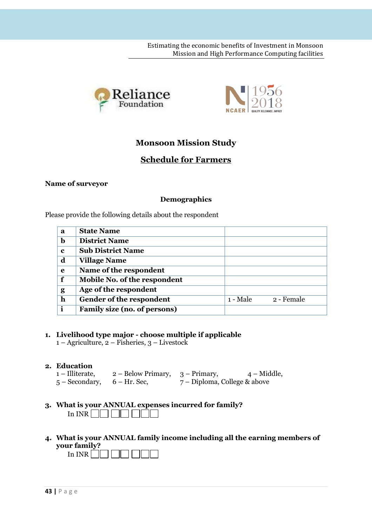



# **Monsoon Mission Study**

# **Schedule for Farmers**

#### **Name of surveyor**

### **Demographics**

Please provide the following details about the respondent

| a           | <b>State Name</b>            |          |            |
|-------------|------------------------------|----------|------------|
| b           | <b>District Name</b>         |          |            |
| $\mathbf c$ | <b>Sub District Name</b>     |          |            |
| d           | <b>Village Name</b>          |          |            |
| e           | Name of the respondent       |          |            |
| f           | Mobile No. of the respondent |          |            |
| g           | Age of the respondent        |          |            |
| $\mathbf h$ | Gender of the respondent     | 1 - Male | 2 - Female |
| $\mathbf i$ | Family size (no. of persons) |          |            |

### **1. Livelihood type major - choose multiple if applicable**

1 – Agriculture, 2 – Fisheries, 3 – Livestock

### **2. Education**

| $1$ – Illiterate,               | $2 - Below Primary, 3 - Primary,$ |                              | $4 - Middle$ , |
|---------------------------------|-----------------------------------|------------------------------|----------------|
| $5 -$ Secondary, $6 -$ Hr. Sec, |                                   | 7 – Diploma, College & above |                |

**3. What is your ANNUAL expenses incurred for family?**

In INR

**4. What is your ANNUAL family income including all the earning members of your family?**

| ĸ<br>n<br>ΙP<br>`<br>— |  |
|------------------------|--|
|------------------------|--|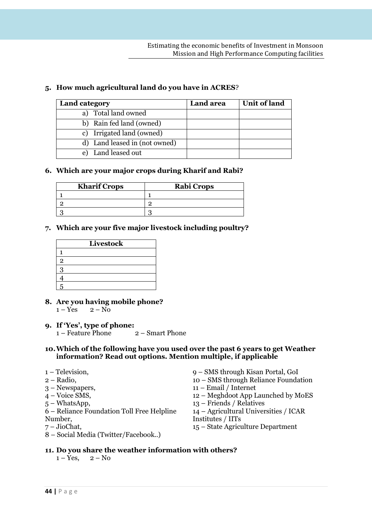### **5. How much agricultural land do you have in ACRES**?

| <b>Land category</b>          | <b>Land area</b> | Unit of land |
|-------------------------------|------------------|--------------|
| a) Total land owned           |                  |              |
| b) Rain fed land (owned)      |                  |              |
| c) Irrigated land (owned)     |                  |              |
| d) Land leased in (not owned) |                  |              |
| e) Land leased out            |                  |              |

### **6. Which are your major crops during Kharif and Rabi?**

| <b>Kharif Crops</b> | <b>Rabi Crops</b> |
|---------------------|-------------------|
|                     |                   |
|                     |                   |
|                     |                   |

### **7. Which are your five major livestock including poultry?**

|                | Livestock |
|----------------|-----------|
|                |           |
| $\overline{2}$ |           |
| 3              |           |
|                |           |
| 5              |           |

- **8. Are you having mobile phone?**  $1 - Yes$   $2 - No$
- **9. If 'Yes', type of phone:**
	- $1 -$  Feature Phone  $2 -$  Smart Phone
- **10.Which of the following have you used over the past 6 years to get Weather information? Read out options. Mention multiple, if applicable**
- 1 Television,
- 2 Radio,
- 3 Newspapers,
- 4 Voice SMS,
- 5 WhatsApp,
- 6 Reliance Foundation Toll Free Helpline
- Number,
- 7 JioChat,
- 8 Social Media (Twitter/Facebook..)
- 9 SMS through Kisan Portal, GoI
- 10 SMS through Reliance Foundation
- 11 Email / Internet
- 12 Meghdoot App Launched by MoES
- 13 Friends / Relatives
- 14 Agricultural Universities / ICAR Institutes / IITs
- 15 State Agriculture Department

### **11. Do you share the weather information with others?**

 $1 - Yes$ ,  $2 - No$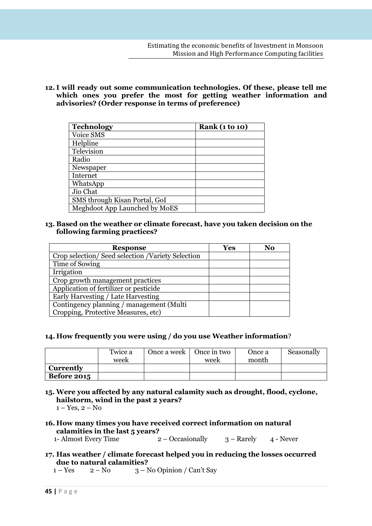**12. I will ready out some communication technologies. Of these, please tell me which ones you prefer the most for getting weather information and advisories? (Order response in terms of preference)** 

| <b>Technology</b>             | <b>Rank</b> (1 to 10) |
|-------------------------------|-----------------------|
| Voice SMS                     |                       |
| Helpline                      |                       |
| Television                    |                       |
| Radio                         |                       |
| Newspaper                     |                       |
| Internet                      |                       |
| WhatsApp                      |                       |
| Jio Chat                      |                       |
| SMS through Kisan Portal, GoI |                       |
| Meghdoot App Launched by MoES |                       |

**13. Based on the weather or climate forecast, have you taken decision on the following farming practices?**

| <b>Response</b>                                 | <b>Yes</b> | N <sub>0</sub> |
|-------------------------------------------------|------------|----------------|
| Crop selection/Seed selection/Variety Selection |            |                |
| Time of Sowing                                  |            |                |
| Irrigation                                      |            |                |
| Crop growth management practices                |            |                |
| Application of fertilizer or pesticide          |            |                |
| Early Harvesting / Late Harvesting              |            |                |
| Contingency planning / management (Multi        |            |                |
| Cropping, Protective Measures, etc)             |            |                |

### **14. How frequently you were using / do you use Weather information**?

|                    | Twice a<br>week | Once a week   Once in two<br>week | Once a<br>month | Seasonally |
|--------------------|-----------------|-----------------------------------|-----------------|------------|
| <b>Currently</b>   |                 |                                   |                 |            |
| <b>Before 2015</b> |                 |                                   |                 |            |

- **15. Were you affected by any natural calamity such as drought, flood, cyclone, hailstorm, wind in the past 2 years?**  $1 - Yes$ ,  $2 - No$
- **16. How many times you have received correct information on natural calamities in the last 5 years?** 1- Almost Every Time  $2 - Occasionally = 3 - Rarely = 4 - Never$
- **17. Has weather / climate forecast helped you in reducing the losses occurred due to natural calamities?**

 $1 - Yes$  2 – No 3 – No Opinion / Can't Say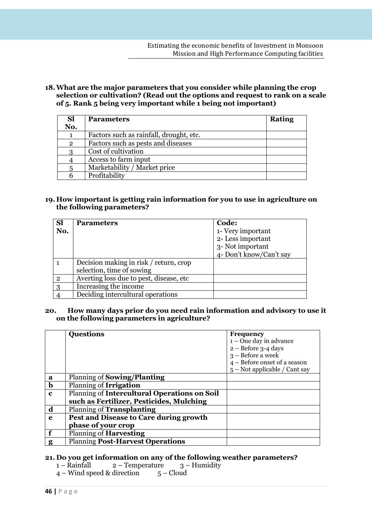**18.What are the major parameters that you consider while planning the crop selection or cultivation? (Read out the options and request to rank on a scale of 5. Rank 5 being very important while 1 being not important)**

| <b>Sl</b><br>No. | <b>Parameters</b>                       | <b>Rating</b> |
|------------------|-----------------------------------------|---------------|
|                  |                                         |               |
|                  | Factors such as rainfall, drought, etc. |               |
| $\overline{2}$   | Factors such as pests and diseases      |               |
| 3                | Cost of cultivation                     |               |
|                  | Access to farm input                    |               |
| 5                | Marketability / Market price            |               |
|                  | Profitability                           |               |

### **19. How important is getting rain information for you to use in agriculture on the following parameters?**

| <b>Sl</b><br>No. | <b>Parameters</b>                                                   | Code:<br>1- Very important<br>2- Less important<br>3- Not important<br>4- Don't know/Can't say |
|------------------|---------------------------------------------------------------------|------------------------------------------------------------------------------------------------|
|                  | Decision making in risk / return, crop<br>selection, time of sowing |                                                                                                |
| $\overline{2}$   | Averting loss due to pest, disease, etc.                            |                                                                                                |
| ્વ               | Increasing the income                                               |                                                                                                |
|                  | Deciding intercultural operations                                   |                                                                                                |

### **20. How many days prior do you need rain information and advisory to use it on the following parameters in agriculture?**

|             | <b>Questions</b>                             | <b>Frequency</b>                |  |  |
|-------------|----------------------------------------------|---------------------------------|--|--|
|             |                                              | $1 -$ One day in advance        |  |  |
|             |                                              | $2 - Before 3-4 days$           |  |  |
|             |                                              | $3 -$ Before a week             |  |  |
|             |                                              | 4 – Before onset of a season    |  |  |
|             |                                              | $5$ – Not applicable / Cant say |  |  |
| a           | Planning of <b>Sowing/Planting</b>           |                                 |  |  |
| $\mathbf b$ | Planning of <b>Irrigation</b>                |                                 |  |  |
| $\mathbf c$ | Planning of Intercultural Operations on Soil |                                 |  |  |
|             | such as Fertilizer, Pesticides, Mulching     |                                 |  |  |
| d           | Planning of Transplanting                    |                                 |  |  |
| e           | Pest and Disease to Care during growth       |                                 |  |  |
|             | phase of your crop                           |                                 |  |  |
|             | Planning of <b>Harvesting</b>                |                                 |  |  |
| g           | <b>Planning Post-Harvest Operations</b>      |                                 |  |  |

# **21.** Do you get information on any of the following weather parameters?<br> $1 -$ Rainfall  $2 -$  Temperature  $3 -$  Humidity

- 2 Temperature  $3$  Humidity<br>direction  $5$  Cloud
- $4 -$  Wind speed & direction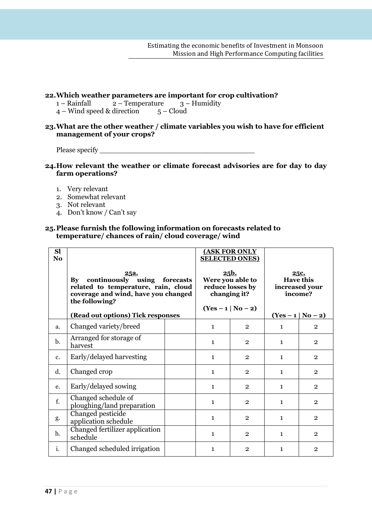### **22.Which weather parameters are important for crop cultivation?**

- 1 Rainfall 2 Temperature 3 Humidity<br>4 Wind speed & direction 5 Cloud
- $4 -$  Wind speed & direction

### **23.What are the other weather / climate variables you wish to have for efficient management of your crops?**

Please specify \_\_\_\_\_\_\_\_\_\_\_\_\_\_\_\_\_\_\_\_\_\_\_\_\_\_\_\_\_\_\_\_\_\_\_

#### **24.How relevant the weather or climate forecast advisories are for day to day farm operations?**

- 1. Very relevant
- 2. Somewhat relevant
- 3. Not relevant
- 4. Don't know / Can't say

#### **25.Please furnish the following information on forecasts related to temperature/ chances of rain/ cloud coverage/ wind**

| SI<br>N <sub>o</sub> | (ASK FOR ONLY<br><b>SELECTED ONES)</b>                                                                                                                         |  |                                                                     |                |                                                       |                |
|----------------------|----------------------------------------------------------------------------------------------------------------------------------------------------------------|--|---------------------------------------------------------------------|----------------|-------------------------------------------------------|----------------|
|                      | 25a.<br>continuously using forecasts<br>$\mathbf{B}\mathbf{v}$<br>related to temperature, rain, cloud<br>coverage and wind, have you changed<br>the following? |  | <u>25b.</u><br>Were you able to<br>reduce losses by<br>changing it? |                | 25c.<br><b>Have this</b><br>increased your<br>income? |                |
|                      | (Read out options) Tick responses                                                                                                                              |  | $(Yes - 1   No - 2)$                                                |                | $(Yes - 1   No - 2)$                                  |                |
| a.                   | Changed variety/breed                                                                                                                                          |  | $\mathbf{1}$                                                        | $\overline{2}$ | $\mathbf{1}$                                          | $\overline{2}$ |
| $b$ .                | Arranged for storage of<br>harvest                                                                                                                             |  | $\mathbf{1}$                                                        | $\overline{2}$ | $\mathbf{1}$                                          | $\overline{2}$ |
| c.                   | Early/delayed harvesting                                                                                                                                       |  | $\mathbf{1}$                                                        | $\overline{2}$ | $\mathbf{1}$                                          | $\overline{2}$ |
| d.                   | Changed crop                                                                                                                                                   |  | $\mathbf{1}$                                                        | $\overline{2}$ | $\mathbf{1}$                                          | $\overline{2}$ |
| e.                   | Early/delayed sowing                                                                                                                                           |  | $\mathbf{1}$                                                        | $\overline{2}$ | $\mathbf{1}$                                          | $\overline{2}$ |
| f.                   | Changed schedule of<br>ploughing/land preparation                                                                                                              |  | $\mathbf{1}$                                                        | $\overline{2}$ | $\mathbf{1}$                                          | $\overline{2}$ |
| g.                   | Changed pesticide<br>application schedule                                                                                                                      |  | $\mathbf{1}$                                                        | $\overline{2}$ | $\mathbf{1}$                                          | $\overline{2}$ |
| h.                   | Changed fertilizer application<br>schedule                                                                                                                     |  | $\mathbf{1}$                                                        | $\overline{2}$ | $\mathbf{1}$                                          | $\overline{2}$ |
| i.                   | Changed scheduled irrigation                                                                                                                                   |  | $\mathbf{1}$                                                        | $\overline{2}$ | $\mathbf{1}$                                          | $\overline{2}$ |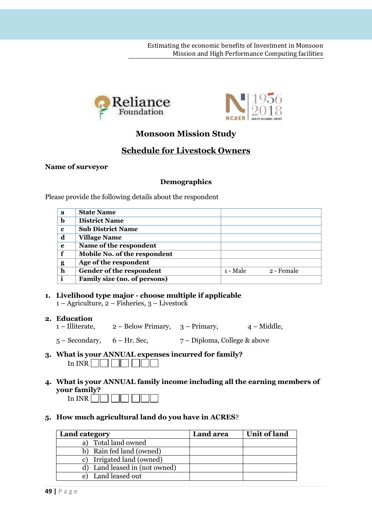



### **Monsoon Mission Study**

### **Schedule for Livestock Owners**

#### **Name of surveyor**

#### **Demographics**

Please provide the following details about the respondent

| a           | <b>State Name</b>            |          |            |
|-------------|------------------------------|----------|------------|
| $\mathbf b$ | <b>District Name</b>         |          |            |
| $\mathbf c$ | <b>Sub District Name</b>     |          |            |
| d           | <b>Village Name</b>          |          |            |
| e           | Name of the respondent       |          |            |
| f           | Mobile No. of the respondent |          |            |
| g           | Age of the respondent        |          |            |
| h           | Gender of the respondent     | 1 - Male | 2 - Female |
|             | Family size (no. of persons) |          |            |

#### **1. Livelihood type major - choose multiple if applicable**

1 – Agriculture, 2 – Fisheries, 3 – Livestock

#### **2. Education**

- $1 1$ Illiterate,  $2$  Below Primary,  $3$  Primary,  $4$  Middle,
- 
- $5 -$  Secondary, 6 Hr. Sec,  $7 -$  Diploma, College & above
- **3. What is your ANNUAL expenses incurred for family?** In  $\overline{\text{INR}}$
- **4. What is your ANNUAL family income including all the earning members of your family?**

| ЛR<br>m<br>Ηľ |  |  |  |  |  |  |  |  |  |  |  |
|---------------|--|--|--|--|--|--|--|--|--|--|--|
|---------------|--|--|--|--|--|--|--|--|--|--|--|

**5. How much agricultural land do you have in ACRES**?

| <b>Land category</b>          | <b>Land area</b> | Unit of land |
|-------------------------------|------------------|--------------|
| a) Total land owned           |                  |              |
| b) Rain fed land (owned)      |                  |              |
| c) Irrigated land (owned)     |                  |              |
| d) Land leased in (not owned) |                  |              |
| Land leased out               |                  |              |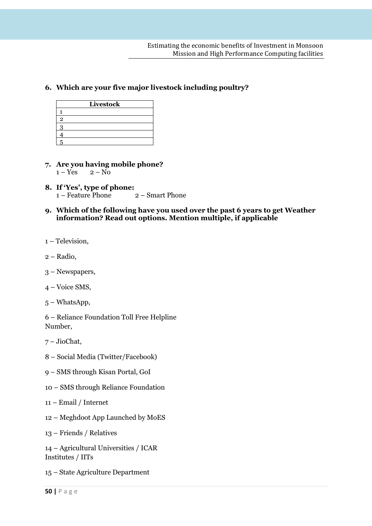#### **6. Which are your five major livestock including poultry?**

| Livestock      |  |  |  |  |  |
|----------------|--|--|--|--|--|
|                |  |  |  |  |  |
| $\overline{2}$ |  |  |  |  |  |
|                |  |  |  |  |  |
|                |  |  |  |  |  |
|                |  |  |  |  |  |

- **7. Are you having mobile phone?**  $1 - Yes$   $2 - No$
- **8. If 'Yes', type of phone:**  $1 -$  Feature Phone  $2 -$  Smart Phone
- **9. Which of the following have you used over the past 6 years to get Weather information? Read out options. Mention multiple, if applicable**
- Television,
- Radio,
- Newspapers,
- Voice SMS,
- WhatsApp,

– Reliance Foundation Toll Free Helpline Number,

– JioChat,

- Social Media (Twitter/Facebook)
- SMS through Kisan Portal, GoI
- SMS through Reliance Foundation
- Email / Internet
- Meghdoot App Launched by MoES
- Friends / Relatives

– Agricultural Universities / ICAR Institutes / IITs

– State Agriculture Department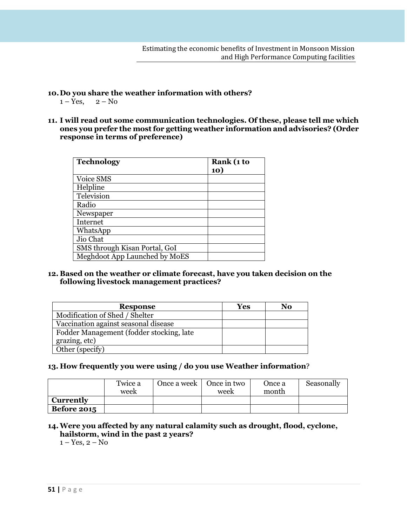- **10.Do you share the weather information with others?**  $1 - Yes$ ,  $2 - No$
- **11. I will read out some communication technologies. Of these, please tell me which ones you prefer the most for getting weather information and advisories? (Order response in terms of preference)**

| <b>Technology</b>             | Rank (1 to |
|-------------------------------|------------|
|                               | 10)        |
| Voice SMS                     |            |
| Helpline                      |            |
| Television                    |            |
| Radio                         |            |
| Newspaper                     |            |
| Internet                      |            |
| WhatsApp                      |            |
| Jio Chat                      |            |
| SMS through Kisan Portal, GoI |            |
| Meghdoot App Launched by MoES |            |

**12. Based on the weather or climate forecast, have you taken decision on the following livestock management practices?**

| <b>Response</b>                          | Yes | No |
|------------------------------------------|-----|----|
| Modification of Shed / Shelter           |     |    |
| Vaccination against seasonal disease     |     |    |
| Fodder Management (fodder stocking, late |     |    |
| grazing, etc)                            |     |    |
| Other (specify)                          |     |    |

#### **13. How frequently you were using / do you use Weather information**?

|                    | Twice a<br>week | Once a week   Once in two | week | Once a<br>month | Seasonally |
|--------------------|-----------------|---------------------------|------|-----------------|------------|
| <b>Currently</b>   |                 |                           |      |                 |            |
| <b>Before 2015</b> |                 |                           |      |                 |            |

#### **14.Were you affected by any natural calamity such as drought, flood, cyclone, hailstorm, wind in the past 2 years?**

 $1 - Yes$ ,  $2 - No$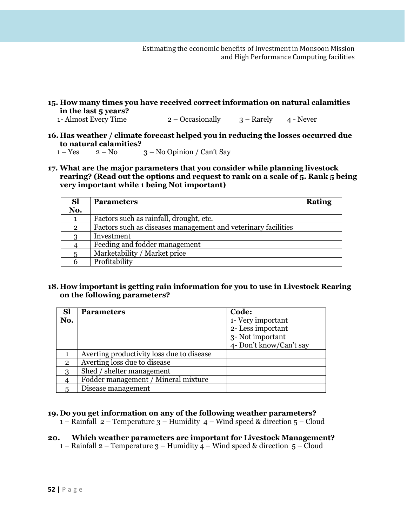**15. How many times you have received correct information on natural calamities in the last 5 years?**

1- Almost Every Time  $2 -$  Occasionally  $3 -$  Rarely  $4 -$  Never

**16. Has weather / climate forecast helped you in reducing the losses occurred due to natural calamities?**

 $1 - Yes$   $2 - No$   $3 - No$  Opinion / Can't Say

**17. What are the major parameters that you consider while planning livestock rearing? (Read out the options and request to rank on a scale of 5. Rank 5 being very important while 1 being Not important)**

| <b>Sl</b>      | <b>Parameters</b>                                             | <b>Rating</b> |
|----------------|---------------------------------------------------------------|---------------|
| No.            |                                                               |               |
|                | Factors such as rainfall, drought, etc.                       |               |
| $\overline{2}$ | Factors such as diseases management and veterinary facilities |               |
|                | Investment                                                    |               |
|                | Feeding and fodder management                                 |               |
| 5              | Marketability / Market price                                  |               |
|                | Profitability                                                 |               |

**18.How important is getting rain information for you to use in Livestock Rearing on the following parameters?** 

| <b>Sl</b>      | <b>Parameters</b>                         | Code:                   |
|----------------|-------------------------------------------|-------------------------|
| No.            |                                           | 1- Very important       |
|                |                                           | 2- Less important       |
|                |                                           | 3- Not important        |
|                |                                           | 4- Don't know/Can't say |
|                | Averting productivity loss due to disease |                         |
| $\overline{2}$ | Averting loss due to disease              |                         |
| 3              | Shed / shelter management                 |                         |
|                | Fodder management / Mineral mixture       |                         |
|                | Disease management                        |                         |

**19. Do you get information on any of the following weather parameters?**

1 – Rainfall 2 – Temperature 3 – Humidity 4 – Wind speed & direction  $5$  – Cloud

**20. Which weather parameters are important for Livestock Management?** 1 – Rainfall 2 – Temperature 3 – Humidity 4 – Wind speed & direction  $5$  – Cloud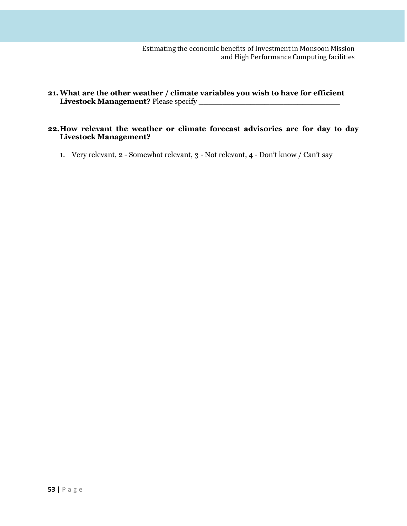**21.What are the other weather / climate variables you wish to have for efficient Livestock Management?** Please specify \_\_\_\_\_\_\_\_\_\_\_\_\_\_\_\_\_\_\_\_\_\_\_\_\_\_\_\_\_\_

#### **22.How relevant the weather or climate forecast advisories are for day to day Livestock Management?**

1. Very relevant, 2 - Somewhat relevant, 3 - Not relevant, 4 - Don't know / Can't say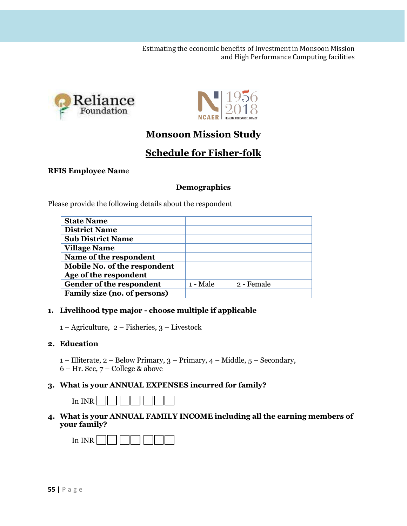



## **Monsoon Mission Study**

## **Schedule for Fisher-folk**

#### **RFIS Employee Nam**e

#### **Demographics**

Please provide the following details about the respondent

| <b>State Name</b>            |          |            |  |
|------------------------------|----------|------------|--|
| <b>District Name</b>         |          |            |  |
| <b>Sub District Name</b>     |          |            |  |
| <b>Village Name</b>          |          |            |  |
| Name of the respondent       |          |            |  |
| Mobile No. of the respondent |          |            |  |
| Age of the respondent        |          |            |  |
| Gender of the respondent     | 1 - Male | 2 - Female |  |
| Family size (no. of persons) |          |            |  |

#### **1. Livelihood type major - choose multiple if applicable**

1 – Agriculture, 2 – Fisheries, 3 – Livestock

#### **2. Education**

- 1 Illiterate, 2 Below Primary, 3 Primary, 4 Middle, 5 Secondary,
- 6 Hr. Sec, 7 College & above

#### **3. What is your ANNUAL EXPENSES incurred for family?**



#### **4. What is your ANNUAL FAMILY INCOME including all the earning members of your family?**

In INR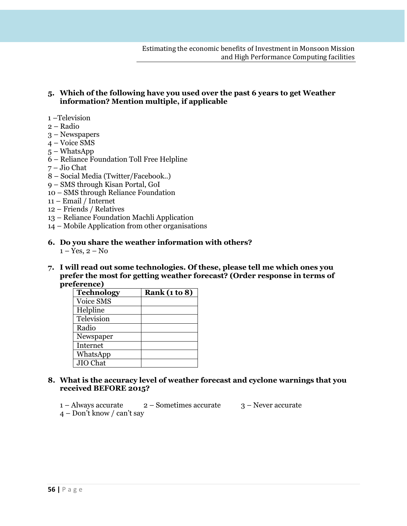#### **5. Which of the following have you used over the past 6 years to get Weather information? Mention multiple, if applicable**

- 1 –Television
- 2 Radio
- 3 Newspapers
- 4 Voice SMS
- 5 WhatsApp
- 6 Reliance Foundation Toll Free Helpline
- 7 Jio Chat
- 8 Social Media (Twitter/Facebook..)
- 9 SMS through Kisan Portal, GoI
- 10 SMS through Reliance Foundation
- 11 Email / Internet
- 12 Friends / Relatives
- 13 Reliance Foundation Machli Application
- 14 Mobile Application from other organisations
- **6. Do you share the weather information with others?**
	- $1 Yes$ ,  $2 No$
- **7. I will read out some technologies. Of these, please tell me which ones you prefer the most for getting weather forecast? (Order response in terms of preference)**

| <b>Technology</b> | <b>Rank</b> (1 to 8) |
|-------------------|----------------------|
| Voice SMS         |                      |
| Helpline          |                      |
| Television        |                      |
| Radio             |                      |
| Newspaper         |                      |
| Internet          |                      |
| WhatsApp          |                      |
| JIO Chat          |                      |

- **8. What is the accuracy level of weather forecast and cyclone warnings that you received BEFORE 2015?** 
	- $1 -$ Always accurate  $2 -$ Sometimes accurate  $3 -$ Never accurate
	- 4 Don't know / can't say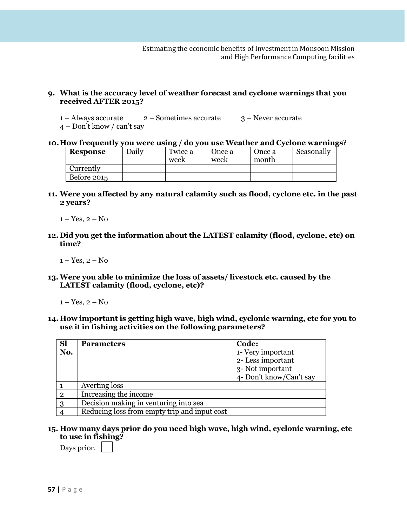#### **9. What is the accuracy level of weather forecast and cyclone warnings that you received AFTER 2015?**

- $1 -$ Always accurate  $2 -$  Sometimes accurate  $3 -$  Never accurate
- 4 Don't know / can't say

#### **10.How frequently you were using / do you use Weather and Cyclone warnings**?

| <b>Response</b>    | Daily | Twice a<br>week | Once a<br>week | Once a<br>month | Seasonally |
|--------------------|-------|-----------------|----------------|-----------------|------------|
| Currently          |       |                 |                |                 |            |
| <b>Before 2015</b> |       |                 |                |                 |            |

**11. Were you affected by any natural calamity such as flood, cyclone etc. in the past 2 years?**

 $1 - Yes$ ,  $2 - No$ 

**12. Did you get the information about the LATEST calamity (flood, cyclone, etc) on time?**

 $1 - Yes$ ,  $2 - No$ 

**13. Were you able to minimize the loss of assets/ livestock etc. caused by the LATEST calamity (flood, cyclone, etc)?**

 $1 - Yes$ ,  $2 - No$ 

**14. How important is getting high wave, high wind, cyclonic warning, etc for you to use it in fishing activities on the following parameters?** 

| <b>Sl</b>      | <b>Parameters</b>                            | Code:                   |
|----------------|----------------------------------------------|-------------------------|
| No.            |                                              | 1- Very important       |
|                |                                              | 2- Less important       |
|                |                                              | 3- Not important        |
|                |                                              | 4- Don't know/Can't say |
|                | Averting loss                                |                         |
| $\mathfrak{p}$ | Increasing the income                        |                         |
| $\mathbf{Q}$   | Decision making in venturing into sea        |                         |
|                | Reducing loss from empty trip and input cost |                         |

**15. How many days prior do you need high wave, high wind, cyclonic warning, etc to use in fishing?** 

Days prior.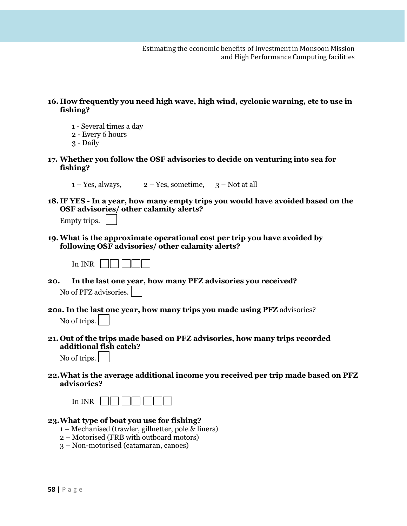#### **16. How frequently you need high wave, high wind, cyclonic warning, etc to use in fishing?**

- 1 Several times a day
- 2 Every 6 hours
- 3 Daily
- **17. Whether you follow the OSF advisories to decide on venturing into sea for fishing?**

 $1 - Yes$ , always,  $2 - Yes$ , sometime,  $3 - Not$  at all

**18. IF YES - In a year, how many empty trips you would have avoided based on the OSF advisories/ other calamity alerts?** 

| Empty trips. |  |
|--------------|--|
|              |  |

**19.What is the approximate operational cost per trip you have avoided by following OSF advisories/ other calamity alerts?** 

- **20. In the last one year, how many PFZ advisories you received?**  No of PFZ advisories.
- **20a. In the last one year, how many trips you made using PFZ** advisories? No of trips.
- **21. Out of the trips made based on PFZ advisories, how many trips recorded additional fish catch?**

No of trips.

**22.What is the average additional income you received per trip made based on PFZ advisories?** 



- **23.What type of boat you use for fishing?**
	- 1 Mechanised (trawler, gillnetter, pole & liners)
	- 2 Motorised (FRB with outboard motors)
	- 3 Non-motorised (catamaran, canoes)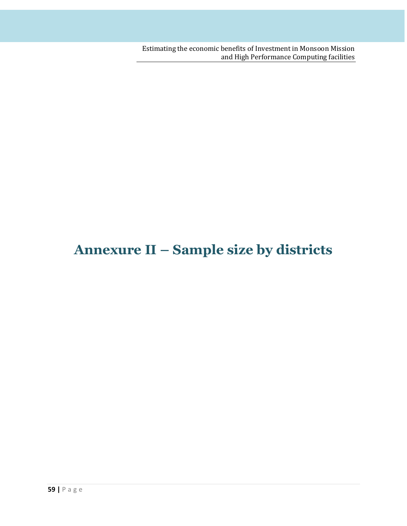# **Annexure II – Sample size by districts**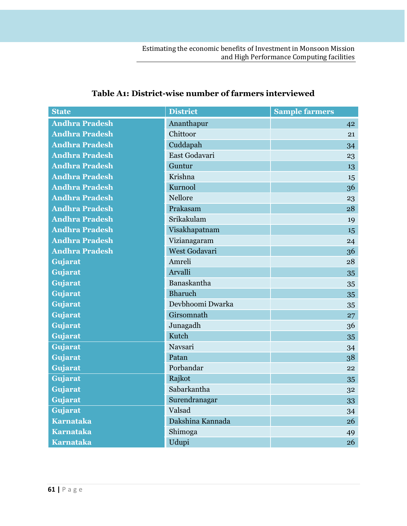| <b>State</b>          | <b>District</b>  | <b>Sample farmers</b> |
|-----------------------|------------------|-----------------------|
| <b>Andhra Pradesh</b> | Ananthapur       | 42                    |
| <b>Andhra Pradesh</b> | Chittoor         | 21                    |
| <b>Andhra Pradesh</b> | Cuddapah         | 34                    |
| <b>Andhra Pradesh</b> | East Godavari    | 23                    |
| <b>Andhra Pradesh</b> | Guntur           | 13                    |
| <b>Andhra Pradesh</b> | Krishna          | 15                    |
| <b>Andhra Pradesh</b> | Kurnool          | 36                    |
| <b>Andhra Pradesh</b> | Nellore          | 23                    |
| <b>Andhra Pradesh</b> | Prakasam         | 28                    |
| <b>Andhra Pradesh</b> | Srikakulam       | 19                    |
| <b>Andhra Pradesh</b> | Visakhapatnam    | 15                    |
| <b>Andhra Pradesh</b> | Vizianagaram     | 24                    |
| <b>Andhra Pradesh</b> | West Godavari    | 36                    |
| Gujarat               | Amreli           | 28                    |
| Gujarat               | Arvalli          | 35                    |
| Gujarat               | Banaskantha      | 35                    |
| Gujarat               | <b>Bharuch</b>   | 35                    |
| Gujarat               | Devbhoomi Dwarka | 35                    |
| Gujarat               | Girsomnath       | 27                    |
| Gujarat               | Junagadh         | 36                    |
| Gujarat               | Kutch            | 35                    |
| Gujarat               | Navsari          | 34                    |
| Gujarat               | Patan            | 38                    |
| Gujarat               | Porbandar        | 22                    |
| Gujarat               | Rajkot           | 35                    |
| Gujarat               | Sabarkantha      | 32                    |
| Gujarat               | Surendranagar    | 33                    |
| Gujarat               | Valsad           | 34                    |
| <b>Karnataka</b>      | Dakshina Kannada | 26                    |
| <b>Karnataka</b>      | Shimoga          | 49                    |
| <b>Karnataka</b>      | Udupi            | 26                    |

## **Table A1: District-wise number of farmers interviewed**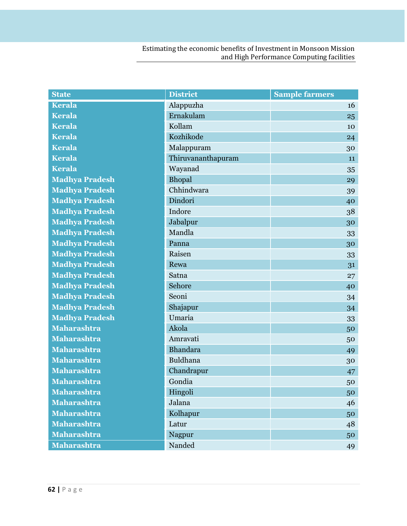| <b>State</b>          | <b>District</b>    | <b>Sample farmers</b> |
|-----------------------|--------------------|-----------------------|
| <b>Kerala</b>         | Alappuzha          | 16                    |
| <b>Kerala</b>         | Ernakulam          | 25                    |
| <b>Kerala</b>         | Kollam             | 10                    |
| <b>Kerala</b>         | Kozhikode          | 24                    |
| <b>Kerala</b>         | Malappuram         | 30                    |
| <b>Kerala</b>         | Thiruvananthapuram | 11                    |
| <b>Kerala</b>         | Wayanad            | 35                    |
| <b>Madhya Pradesh</b> | Bhopal             | 29                    |
| <b>Madhya Pradesh</b> | Chhindwara         | 39                    |
| <b>Madhya Pradesh</b> | Dindori            | 40                    |
| <b>Madhya Pradesh</b> | Indore             | 38                    |
| <b>Madhya Pradesh</b> | Jabalpur           | 30                    |
| <b>Madhya Pradesh</b> | Mandla             | 33                    |
| <b>Madhya Pradesh</b> | Panna              | 30                    |
| <b>Madhya Pradesh</b> | Raisen             | 33                    |
| <b>Madhya Pradesh</b> | Rewa               | 31                    |
| <b>Madhya Pradesh</b> | Satna              | 27                    |
| <b>Madhya Pradesh</b> | Sehore             | 40                    |
| <b>Madhya Pradesh</b> | Seoni              | 34                    |
| <b>Madhya Pradesh</b> | Shajapur           | 34                    |
| <b>Madhya Pradesh</b> | Umaria             | 33                    |
| <b>Maharashtra</b>    | Akola              | 50                    |
| <b>Maharashtra</b>    | Amravati           | 50                    |
| <b>Maharashtra</b>    | Bhandara           | 49                    |
| <b>Maharashtra</b>    | Buldhana           | 30                    |
| <b>Maharashtra</b>    | Chandrapur         | 47                    |
| <b>Maharashtra</b>    | Gondia             | 50                    |
| <b>Maharashtra</b>    | Hingoli            | 50                    |
| <b>Maharashtra</b>    | Jalana             | 46                    |
| <b>Maharashtra</b>    | Kolhapur           | 50                    |
| <b>Maharashtra</b>    | Latur              | 48                    |
| <b>Maharashtra</b>    | Nagpur             | 50                    |
| <b>Maharashtra</b>    | Nanded             | 49                    |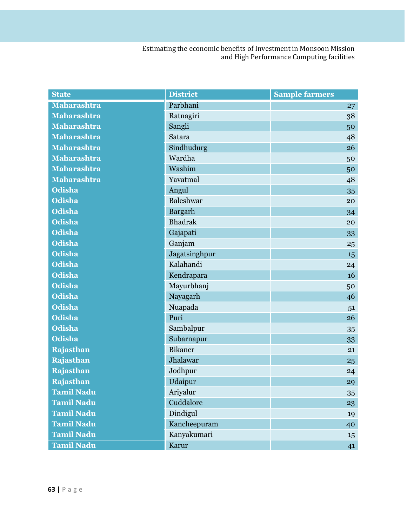| <b>State</b>       | <b>District</b> | <b>Sample farmers</b> |
|--------------------|-----------------|-----------------------|
| <b>Maharashtra</b> | Parbhani        | 27                    |
| <b>Maharashtra</b> | Ratnagiri       | 38                    |
| <b>Maharashtra</b> | Sangli          | 50                    |
| <b>Maharashtra</b> | Satara          | 48                    |
| <b>Maharashtra</b> | Sindhudurg      | 26                    |
| <b>Maharashtra</b> | Wardha          | 50                    |
| <b>Maharashtra</b> | Washim          | 50                    |
| <b>Maharashtra</b> | Yavatmal        | 48                    |
| <b>Odisha</b>      | Angul           | 35                    |
| <b>Odisha</b>      | Baleshwar       | 20                    |
| <b>Odisha</b>      | Bargarh         | 34                    |
| <b>Odisha</b>      | <b>Bhadrak</b>  | 20                    |
| <b>Odisha</b>      | Gajapati        | 33                    |
| <b>Odisha</b>      | Ganjam          | 25                    |
| <b>Odisha</b>      | Jagatsinghpur   | 15                    |
| <b>Odisha</b>      | Kalahandi       | 24                    |
| <b>Odisha</b>      | Kendrapara      | 16                    |
| <b>Odisha</b>      | Mayurbhanj      | 50                    |
| <b>Odisha</b>      | Nayagarh        | 46                    |
| <b>Odisha</b>      | Nuapada         | 51                    |
| <b>Odisha</b>      | Puri            | 26                    |
| <b>Odisha</b>      | Sambalpur       | 35                    |
| <b>Odisha</b>      | Subarnapur      | 33                    |
| Rajasthan          | <b>Bikaner</b>  | 21                    |
| Rajasthan          | Jhalawar        | 25                    |
| Rajasthan          | Jodhpur         | 24                    |
| Rajasthan          | Udaipur         | 29                    |
| <b>Tamil Nadu</b>  | Ariyalur        | 35                    |
| <b>Tamil Nadu</b>  | Cuddalore       | 23                    |
| <b>Tamil Nadu</b>  | Dindigul        | 19                    |
| <b>Tamil Nadu</b>  | Kancheepuram    | 40                    |
| <b>Tamil Nadu</b>  | Kanyakumari     | 15                    |
| <b>Tamil Nadu</b>  | Karur           | 41                    |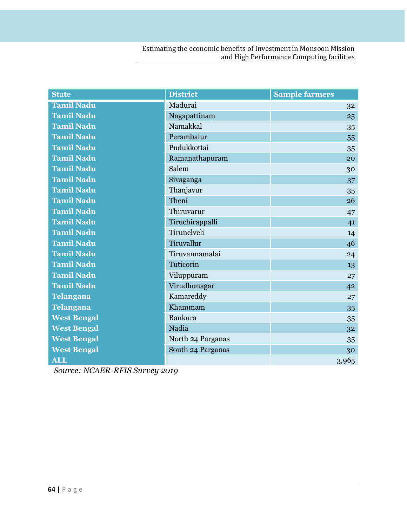| <b>State</b>       | <b>District</b>   | <b>Sample farmers</b> |
|--------------------|-------------------|-----------------------|
| <b>Tamil Nadu</b>  | Madurai           | 32                    |
| <b>Tamil Nadu</b>  | Nagapattinam      | 25                    |
| <b>Tamil Nadu</b>  | Namakkal          | 35                    |
| <b>Tamil Nadu</b>  | Perambalur        | 55                    |
| <b>Tamil Nadu</b>  | Pudukkottai       | 35                    |
| <b>Tamil Nadu</b>  | Ramanathapuram    | 20                    |
| <b>Tamil Nadu</b>  | Salem             | 30                    |
| <b>Tamil Nadu</b>  | Sivaganga         | 37                    |
| <b>Tamil Nadu</b>  | Thanjavur         | 35                    |
| <b>Tamil Nadu</b>  | Theni             | 26                    |
| <b>Tamil Nadu</b>  | Thiruvarur        | 47                    |
| <b>Tamil Nadu</b>  | Tiruchirappalli   | 41                    |
| <b>Tamil Nadu</b>  | Tirunelveli       | 14                    |
| <b>Tamil Nadu</b>  | Tiruvallur        | 46                    |
| <b>Tamil Nadu</b>  | Tiruvannamalai    | 24                    |
| <b>Tamil Nadu</b>  | Tuticorin         | 13                    |
| <b>Tamil Nadu</b>  | Viluppuram        | 27                    |
| <b>Tamil Nadu</b>  | Virudhunagar      | 42                    |
| <b>Telangana</b>   | Kamareddy         | 27                    |
| Telangana          | Khammam           | 35                    |
| <b>West Bengal</b> | <b>Bankura</b>    | 35                    |
| <b>West Bengal</b> | Nadia             | 32                    |
| <b>West Bengal</b> | North 24 Parganas | 35                    |
| <b>West Bengal</b> | South 24 Parganas | 30                    |
| <b>ALL</b>         |                   | 3,965                 |

*Source: NCAER-RFIS Survey 2019*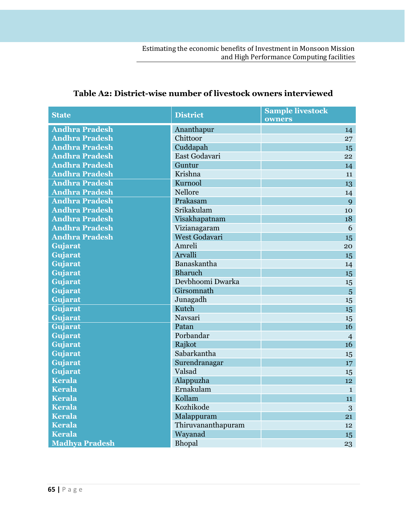| <b>State</b>          | <b>District</b>    | <b>Sample livestock</b><br>owners |
|-----------------------|--------------------|-----------------------------------|
| <b>Andhra Pradesh</b> | Ananthapur         | 14                                |
| <b>Andhra Pradesh</b> | Chittoor           | 27                                |
| <b>Andhra Pradesh</b> | Cuddapah           | 15                                |
| <b>Andhra Pradesh</b> | East Godavari      | 22                                |
| <b>Andhra Pradesh</b> | Guntur             | 14                                |
| <b>Andhra Pradesh</b> | Krishna            | 11                                |
| <b>Andhra Pradesh</b> | Kurnool            | 13                                |
| <b>Andhra Pradesh</b> | Nellore            | 14                                |
| <b>Andhra Pradesh</b> | Prakasam           | 9                                 |
| <b>Andhra Pradesh</b> | Srikakulam         | 10                                |
| <b>Andhra Pradesh</b> | Visakhapatnam      | 18                                |
| <b>Andhra Pradesh</b> | Vizianagaram       | 6                                 |
| <b>Andhra Pradesh</b> | West Godavari      | 15                                |
| Gujarat               | Amreli             | 20                                |
| Gujarat               | Arvalli            | 15                                |
| Gujarat               | Banaskantha        | 14                                |
| Gujarat               | <b>Bharuch</b>     | 15                                |
| <b>Gujarat</b>        | Devbhoomi Dwarka   | 15                                |
| Gujarat               | Girsomnath         | $\overline{5}$                    |
| Gujarat               | Junagadh           | 15                                |
| Gujarat               | Kutch              | $15\overline{)}$                  |
| Gujarat               | Navsari            | 15                                |
| Gujarat               | Patan              | 16                                |
| Gujarat               | Porbandar          | $\overline{4}$                    |
| <b>Gujarat</b>        | Rajkot             | 16                                |
| Gujarat               | Sabarkantha        | 15                                |
| Gujarat               | Surendranagar      | 17                                |
| Gujarat               | Valsad             | 15                                |
| <b>Kerala</b>         | Alappuzha          | 12                                |
| <b>Kerala</b>         | Ernakulam          | $\mathbf{1}$                      |
| <b>Kerala</b>         | Kollam             | 11                                |
| <b>Kerala</b>         | Kozhikode          | 3                                 |
| <b>Kerala</b>         | Malappuram         | 21                                |
| <b>Kerala</b>         | Thiruvananthapuram | 12                                |
| <b>Kerala</b>         | Wayanad            | 15                                |
| <b>Madhya Pradesh</b> | Bhopal             | 23                                |

## **Table A2: District-wise number of livestock owners interviewed**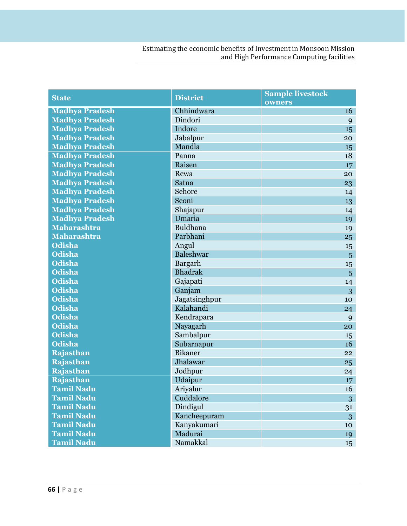| <b>State</b>          | <b>District</b> | <b>Sample livestock</b><br>owners |
|-----------------------|-----------------|-----------------------------------|
| <b>Madhya Pradesh</b> | Chhindwara      | 16                                |
| <b>Madhya Pradesh</b> | Dindori         | 9                                 |
| <b>Madhya Pradesh</b> | Indore          | 15                                |
| <b>Madhya Pradesh</b> | Jabalpur        | 20                                |
| <b>Madhya Pradesh</b> | Mandla          | 15                                |
| <b>Madhya Pradesh</b> | Panna           | 18                                |
| <b>Madhya Pradesh</b> | Raisen          | 17                                |
| <b>Madhya Pradesh</b> | Rewa            | 20                                |
| <b>Madhya Pradesh</b> | Satna           | 23                                |
| <b>Madhya Pradesh</b> | Sehore          | 14                                |
| <b>Madhya Pradesh</b> | Seoni           | 13                                |
| <b>Madhya Pradesh</b> | Shajapur        | 14                                |
| <b>Madhya Pradesh</b> | Umaria          | 19                                |
| <b>Maharashtra</b>    | Buldhana        | 19                                |
| <b>Maharashtra</b>    | Parbhani        | 25                                |
| <b>Odisha</b>         | Angul           | 15                                |
| <b>Odisha</b>         | Baleshwar       | $\overline{5}$                    |
| <b>Odisha</b>         | Bargarh         | 15                                |
| <b>Odisha</b>         | <b>Bhadrak</b>  | $\overline{5}$                    |
| <b>Odisha</b>         | Gajapati        | 14                                |
| <b>Odisha</b>         | Ganjam          | 3                                 |
| <b>Odisha</b>         | Jagatsinghpur   | 10                                |
| <b>Odisha</b>         | Kalahandi       | 24                                |
| <b>Odisha</b>         | Kendrapara      | 9                                 |
| <b>Odisha</b>         | Nayagarh        | 20                                |
| <b>Odisha</b>         | Sambalpur       | 15                                |
| <b>Odisha</b>         | Subarnapur      | 16                                |
| Rajasthan             | <b>Bikaner</b>  | 22                                |
| Rajasthan             | Jhalawar        | 25                                |
| Rajasthan             | Jodhpur         | 24                                |
| <b>Rajasthan</b>      | Udaipur         | 17                                |
| <b>Tamil Nadu</b>     | Ariyalur        | 16                                |
| <b>Tamil Nadu</b>     | Cuddalore       | 3                                 |
| <b>Tamil Nadu</b>     | Dindigul        | 31                                |
| <b>Tamil Nadu</b>     | Kancheepuram    | 3                                 |
| <b>Tamil Nadu</b>     | Kanyakumari     | 10                                |
| <b>Tamil Nadu</b>     | Madurai         | 19                                |
| <b>Tamil Nadu</b>     | Namakkal        | 15                                |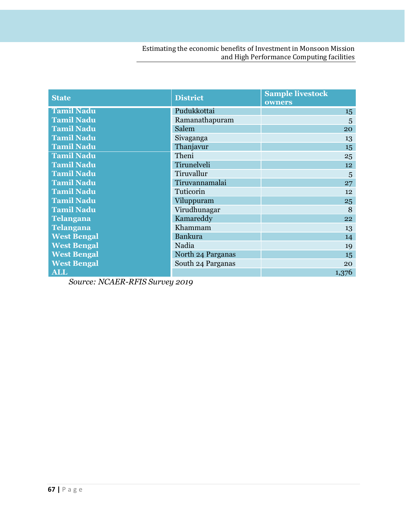| <b>State</b>       | <b>District</b>   | <b>Sample livestock</b><br>owners |
|--------------------|-------------------|-----------------------------------|
| <b>Tamil Nadu</b>  | Pudukkottai       | 15                                |
| <b>Tamil Nadu</b>  | Ramanathapuram    | 5                                 |
| <b>Tamil Nadu</b>  | Salem             | 20                                |
| <b>Tamil Nadu</b>  | Sivaganga         | 13                                |
| <b>Tamil Nadu</b>  | Thanjavur         | 15                                |
| <b>Tamil Nadu</b>  | Theni             | 25                                |
| <b>Tamil Nadu</b>  | Tirunelveli       | 12                                |
| <b>Tamil Nadu</b>  | Tiruvallur        | 5                                 |
| <b>Tamil Nadu</b>  | Tiruvannamalai    | 27                                |
| <b>Tamil Nadu</b>  | Tuticorin         | 12                                |
| <b>Tamil Nadu</b>  | Viluppuram        | 25                                |
| <b>Tamil Nadu</b>  | Virudhunagar      | 8                                 |
| <b>Telangana</b>   | Kamareddy         | 22                                |
| <b>Telangana</b>   | Khammam           | 13                                |
| <b>West Bengal</b> | <b>Bankura</b>    | 14                                |
| <b>West Bengal</b> | Nadia             | 19                                |
| <b>West Bengal</b> | North 24 Parganas | 15                                |
| <b>West Bengal</b> | South 24 Parganas | 20                                |
| <b>ALL</b>         |                   | 1,376                             |

*Source: NCAER-RFIS Survey 2019*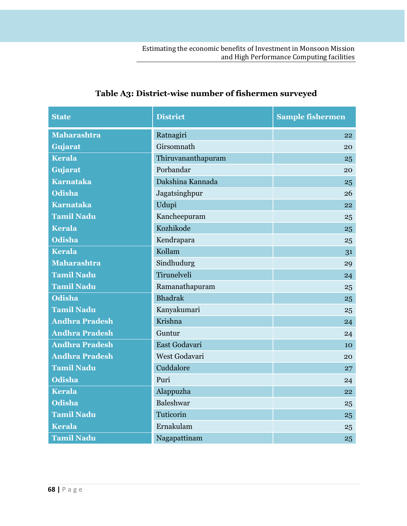| <b>State</b>          | <b>District</b>    | <b>Sample fishermen</b> |
|-----------------------|--------------------|-------------------------|
| <b>Maharashtra</b>    | Ratnagiri          | 22                      |
| Gujarat               | Girsomnath         | 20                      |
| <b>Kerala</b>         | Thiruvananthapuram | 25                      |
| Gujarat               | Porbandar          | 20                      |
| <b>Karnataka</b>      | Dakshina Kannada   | 25                      |
| <b>Odisha</b>         | Jagatsinghpur      | 26                      |
| <b>Karnataka</b>      | Udupi              | 22                      |
| <b>Tamil Nadu</b>     | Kancheepuram       | 25                      |
| <b>Kerala</b>         | Kozhikode          | 25                      |
| <b>Odisha</b>         | Kendrapara         | 25                      |
| <b>Kerala</b>         | Kollam             | 31                      |
| <b>Maharashtra</b>    | Sindhudurg         | 29                      |
| <b>Tamil Nadu</b>     | Tirunelveli        | 24                      |
| <b>Tamil Nadu</b>     | Ramanathapuram     | 25                      |
| <b>Odisha</b>         | <b>Bhadrak</b>     | 25                      |
| <b>Tamil Nadu</b>     | Kanyakumari        | 25                      |
| <b>Andhra Pradesh</b> | Krishna            | 24                      |
| <b>Andhra Pradesh</b> | Guntur             | 24                      |
| <b>Andhra Pradesh</b> | East Godavari      | 10                      |
| <b>Andhra Pradesh</b> | West Godavari      | 20                      |
| <b>Tamil Nadu</b>     | Cuddalore          | 27                      |
| <b>Odisha</b>         | Puri               | 24                      |
| <b>Kerala</b>         | Alappuzha          | 22                      |
| <b>Odisha</b>         | Baleshwar          | 25                      |
| <b>Tamil Nadu</b>     | Tuticorin          | 25                      |
| <b>Kerala</b>         | Ernakulam          | 25                      |
| <b>Tamil Nadu</b>     | Nagapattinam       | 25                      |

## **Table A3: District-wise number of fishermen surveyed**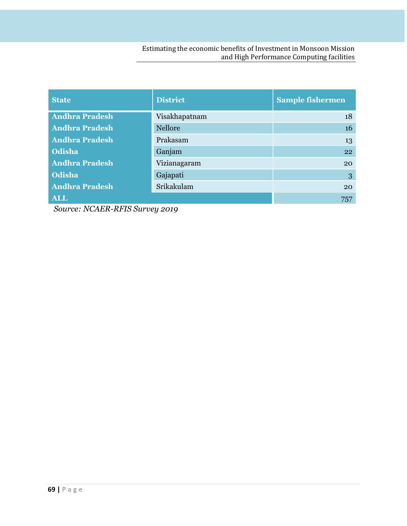| <b>State</b>          | <b>District</b> | <b>Sample fishermen</b> |
|-----------------------|-----------------|-------------------------|
| <b>Andhra Pradesh</b> | Visakhapatnam   | 18                      |
| <b>Andhra Pradesh</b> | <b>Nellore</b>  | 16                      |
| <b>Andhra Pradesh</b> | Prakasam        | 13                      |
| <b>Odisha</b>         | Ganjam          | 22                      |
| <b>Andhra Pradesh</b> | Vizianagaram    | 20                      |
| Odisha                | Gajapati        | 3                       |
| <b>Andhra Pradesh</b> | Srikakulam      | 20                      |
| ALL                   |                 | 757                     |

*Source: NCAER-RFIS Survey 2019*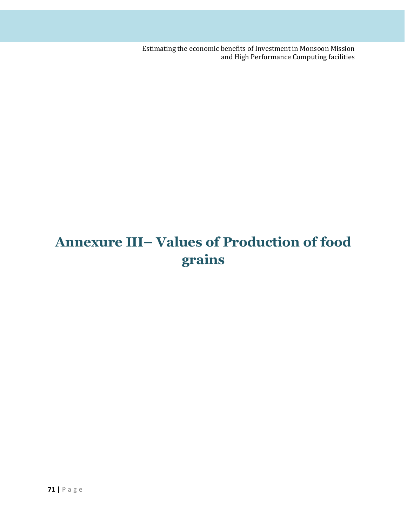## **Annexure III-Values of Production of food** grains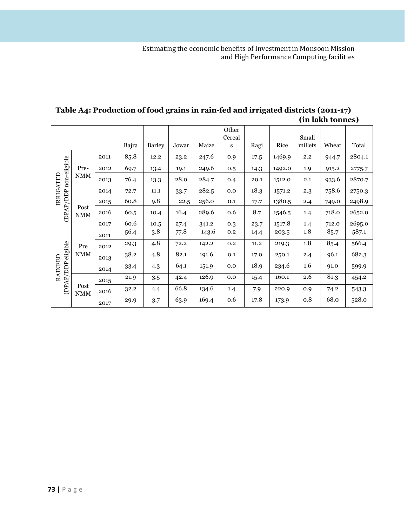|                                     |                    |      |       |                  |       |       | Other<br>Cereal |      |        | Small            |       |        |
|-------------------------------------|--------------------|------|-------|------------------|-------|-------|-----------------|------|--------|------------------|-------|--------|
|                                     |                    |      | Bajra | <b>Barley</b>    | Jowar | Maize | ${\bf S}$       | Ragi | Rice   | millets          | Wheat | Total  |
| (DPAP/DDP non-eligible<br>IRRIGATED | Pre-<br>NMM        | 2011 | 85.8  | 12.2             | 23.2  | 247.6 | 0.9             | 17.5 | 1469.9 | 2.2              | 944.7 | 2804.1 |
|                                     |                    | 2012 | 69.7  | 13.4             | 19.1  | 249.6 | 0.5             | 14.3 | 1492.0 | 1.9              | 915.2 | 2775.7 |
|                                     |                    | 2013 | 76.4  | 13.3             | 28.0  | 284.7 | 0.4             | 20.1 | 1512.0 | 2.1              | 933.6 | 2870.7 |
|                                     |                    | 2014 | 72.7  | 11.1             | 33.7  | 282.5 | 0.0             | 18.3 | 1571.2 | 2.3              | 758.6 | 2750.3 |
|                                     | Post<br><b>NMM</b> | 2015 | 60.8  | 9.8              | 22.5  | 256.0 | 0.1             | 17.7 | 1380.5 | 2.4              | 749.0 | 2498.9 |
|                                     |                    | 2016 | 60.5  | 10.4             | 16.4  | 289.6 | 0.6             | 8.7  | 1546.5 | 1.4              | 718.0 | 2652.0 |
|                                     |                    | 2017 | 60.6  | 10.5             | 27.4  | 341.2 | 0.3             | 23.7 | 1517.8 | 1.4              | 712.0 | 2695.0 |
| (DPAP/DDP eligible<br>RAINFED       | Pre<br>NMM         | 2011 | 56.4  | $3.8\phantom{0}$ | 77.8  | 143.6 | 0.2             | 14.4 | 203.5  | 1.8              | 85.7  | 587.1  |
|                                     |                    | 2012 | 29.3  | 4.8              | 72.2  | 142.2 | 0.2             | 11.2 | 219.3  | $1.8\,$          | 85.4  | 566.4  |
|                                     |                    | 2013 | 38.2  | 4.8              | 82.1  | 191.6 | 0.1             | 17.0 | 250.1  | 2.4              | 96.1  | 682.3  |
|                                     |                    | 2014 | 33.4  | 4.3              | 64.1  | 151.9 | 0.0             | 18.9 | 234.6  | $1.6\phantom{0}$ | 91.0  | 599.9  |
|                                     | Post<br><b>NMM</b> | 2015 | 21.9  | 3.5              | 42.4  | 126.9 | 0.0             | 15.4 | 160.1  | 2.6              | 81.3  | 454.2  |
|                                     |                    | 2016 | 32.2  | 4.4              | 66.8  | 134.6 | 1.4             | 7.9  | 220.9  | 0.9              | 74.2  | 543.3  |
|                                     |                    | 2017 | 29.9  | 3.7              | 63.9  | 169.4 | 0.6             | 17.8 | 173.9  | $0.8\,$          | 68.0  | 528.0  |

**Table A4: Production of food grains in rain-fed and irrigated districts (2011-17) (in lakh tonnes)**